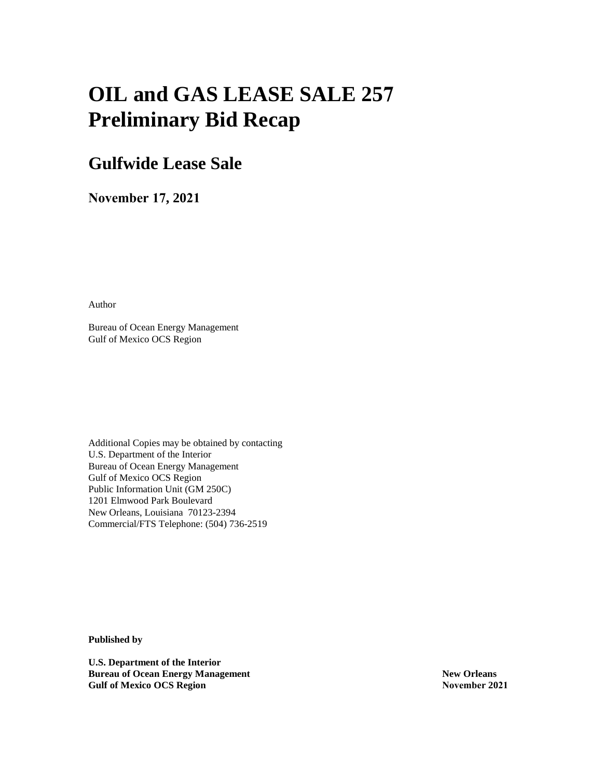# **OIL and GAS LEASE SALE 257 Preliminary Bid Recap**

# **Gulfwide Lease Sale**

**November 17, 2021**

Author

Bureau of Ocean Energy Management Gulf of Mexico OCS Region

Additional Copies may be obtained by contacting U.S. Department of the Interior Bureau of Ocean Energy Management Gulf of Mexico OCS Region Public Information Unit (GM 250C) 1201 Elmwood Park Boulevard New Orleans, Louisiana 70123-2394 Commercial/FTS Telephone: (504) 736-2519

**Published by**

**U.S. Department of the Interior Bureau of Ocean Energy Management Gulf of Mexico OCS Region**

**New Orleans November 2021**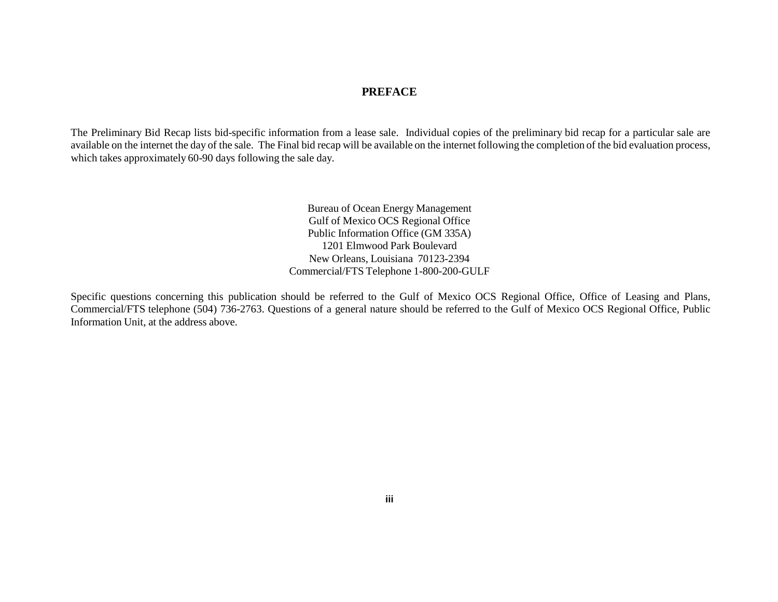# **PREFACE**

The Preliminary Bid Recap lists bid-specific information from a lease sale. Individual copies of the preliminary bid recap for a particular sale are available on the internet the day of the sale. The Final bid recap will be available on the internet following the completion of the bid evaluation process, which takes approximately 60-90 days following the sale day.

> Bureau of Ocean Energy Management Gulf of Mexico OCS Regional Office Public Information Office (GM 335A) 1201 Elmwood Park Boulevard New Orleans, Louisiana 70123-2394 Commercial/FTS Telephone 1-800-200-GULF

Specific questions concerning this publication should be referred to the Gulf of Mexico OCS Regional Office, Office of Leasing and Plans, Commercial/FTS telephone (504) 736-2763. Questions of a general nature should be referred to the Gulf of Mexico OCS Regional Office, Public Information Unit, at the address above.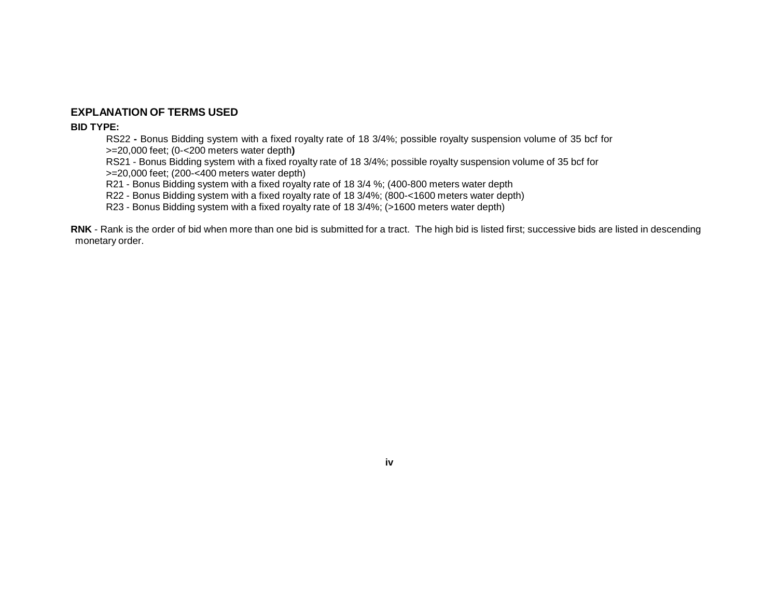### **EXPLANATION OF TERMS USED**

### **BID TYPE:**

RS22 **-** Bonus Bidding system with a fixed royalty rate of 18 3/4%; possible royalty suspension volume of 35 bcf for >=20,000 feet; (0-<200 meters water depth**)**

RS21 - Bonus Bidding system with a fixed royalty rate of 18 3/4%; possible royalty suspension volume of 35 bcf for >=20,000 feet; (200-<400 meters water depth)

R21 - Bonus Bidding system with a fixed royalty rate of 18 3/4 %; (400-800 meters water depth

R22 - Bonus Bidding system with a fixed royalty rate of 18 3/4%; (800-<1600 meters water depth)

R23 - Bonus Bidding system with a fixed royalty rate of 18 3/4%; (>1600 meters water depth)

**RNK** - Rank is the order of bid when more than one bid is submitted for a tract. The high bid is listed first; successive bids are listed in descending monetary order.

### **iv**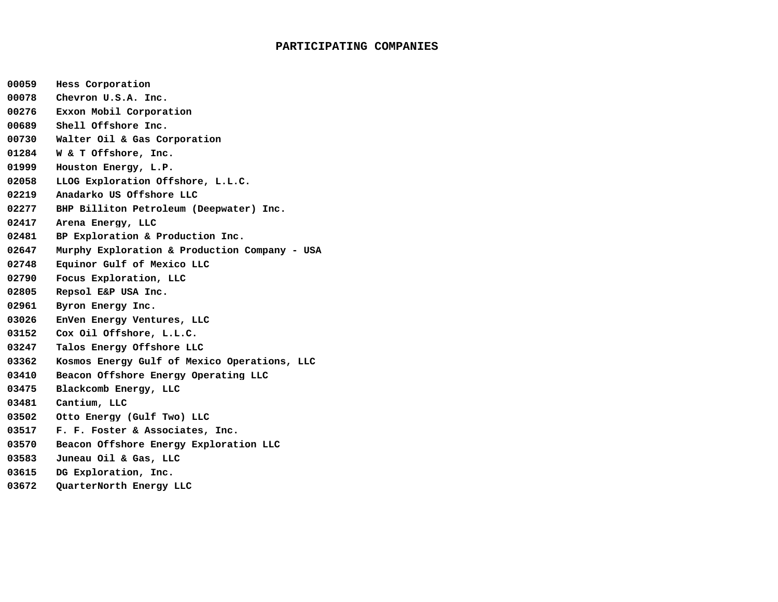#### **PARTICIPATING COMPANIES**

- **00059 Hess Corporation**
- **00078 Chevron U.S.A. Inc.**
- **00276 Exxon Mobil Corporation**
- **00689 Shell Offshore Inc.**
- **00730 Walter Oil & Gas Corporation**
- **01284 W & T Offshore, Inc.**
- **01999 Houston Energy, L.P.**
- **02058 LLOG Exploration Offshore, L.L.C.**
- **02219 Anadarko US Offshore LLC**
- **02277 BHP Billiton Petroleum (Deepwater) Inc.**
- **02417 Arena Energy, LLC**
- **02481 BP Exploration & Production Inc.**
- **02647 Murphy Exploration & Production Company - USA**
- **02748 Equinor Gulf of Mexico LLC**
- **02790 Focus Exploration, LLC**
- **02805 Repsol E&P USA Inc.**
- **02961 Byron Energy Inc.**
- **03026 EnVen Energy Ventures, LLC**
- **03152 Cox Oil Offshore, L.L.C.**
- **03247 Talos Energy Offshore LLC**
- **03362 Kosmos Energy Gulf of Mexico Operations, LLC**
- **03410 Beacon Offshore Energy Operating LLC**
- **03475 Blackcomb Energy, LLC**
- **03481 Cantium, LLC**
- **03502 Otto Energy (Gulf Two) LLC**
- **03517 F. F. Foster & Associates, Inc.**
- **03570 Beacon Offshore Energy Exploration LLC**
- **03583 Juneau Oil & Gas, LLC**
- **03615 DG Exploration, Inc.**
- **03672 QuarterNorth Energy LLC**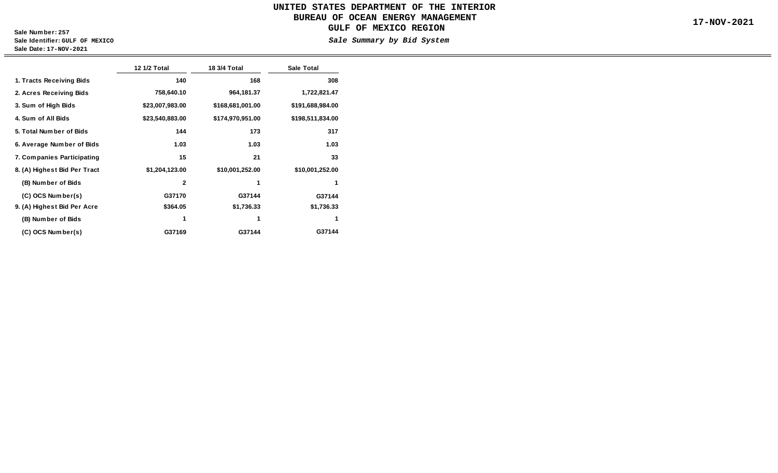### **Sale Number: 257 Sale Identifier: GULF OF MEXICO Sale Date: 17-NOV-2021**

 $\qquad \qquad =$ 

|                              | 12 1/2 Total    | 18 3/4 Total     | <b>Sale Total</b> |
|------------------------------|-----------------|------------------|-------------------|
| 1. Tracts Receiving Bids     | 140             | 168              | 308               |
| 2. Acres Receiving Bids      | 758,640.10      | 964,181.37       | 1,722,821.47      |
| 3. Sum of High Bids          | \$23,007,983.00 | \$168,681,001.00 | \$191,688,984.00  |
| 4. Sum of All Bids           | \$23,540,883.00 | \$174,970,951.00 | \$198,511,834.00  |
| 5. Total Number of Bids      | 144             | 173              | 317               |
| 6. Average Number of Bids    | 1.03            | 1.03             | 1.03              |
| 7. Companies Participating   | 15              | 21               | 33                |
| 8. (A) Highest Bid Per Tract | \$1,204,123.00  | \$10,001,252.00  | \$10,001,252.00   |
| (B) Number of Bids           | $\mathbf{2}$    | 1                | 1                 |
| (C) OCS Number(s)            | G37170          | G37144           | G37144            |
| 9. (A) Highest Bid Per Acre  | \$364.05        | \$1,736.33       | \$1,736.33        |
| (B) Number of Bids           | 1               | 1                | 1                 |
| (C) OCS Number(s)            | G37169          | G37144           | G37144            |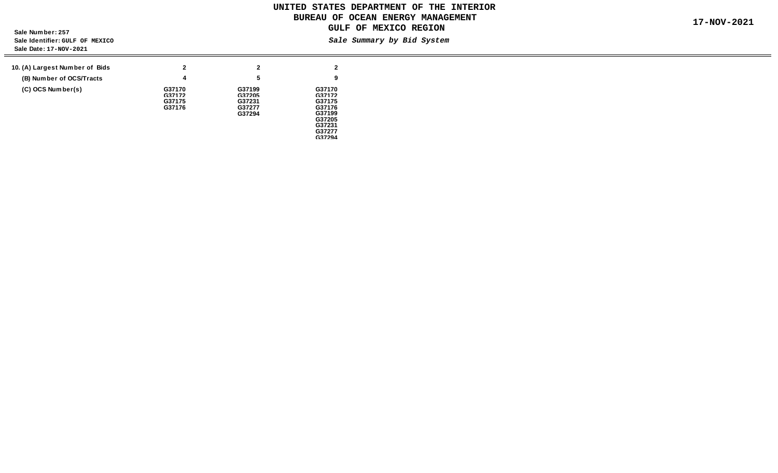**Sale Number: 257 Sale Identifier: GULF OF MEXICO Sale Date: 17-NOV-2021**

 $\qquad \qquad =$ 

| 10. (A) Largest Number of Bids | 2                | $\mathbf{2}$     | $\overline{2}$   |
|--------------------------------|------------------|------------------|------------------|
| (B) Number of OCS/Tracts       | 4                | 5                | 9                |
| (C) OCS Number(s)              | G37170           | G37199           | G37170           |
|                                | G37172<br>G37175 | G37205<br>G37231 | G37172<br>G37175 |
|                                | G37176           | G37277<br>G37294 | G37176<br>G37199 |
|                                |                  |                  | G37205<br>G37231 |
|                                |                  |                  | G37277<br>G37294 |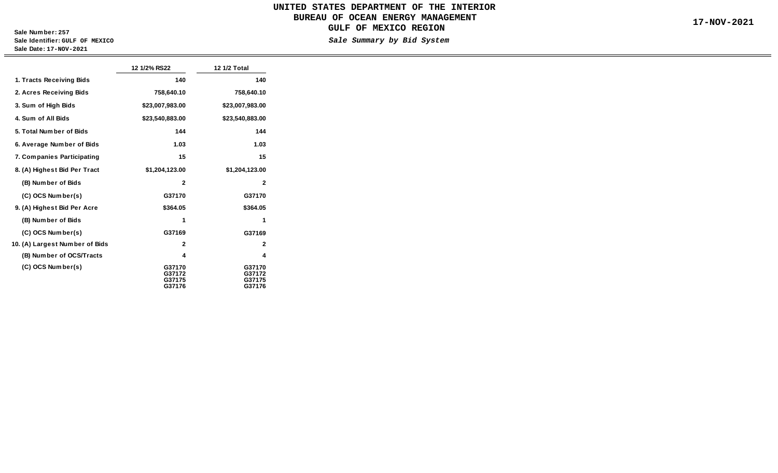**Sale Number: 257 Sale Identifier: GULF OF MEXICO Sale Date: 17-NOV-2021**

 $\equiv$ 

|                                | 12 1/2% RS22                         | 12 1/2 Total                         |
|--------------------------------|--------------------------------------|--------------------------------------|
| 1. Tracts Receiving Bids       | 140                                  | 140                                  |
| 2. Acres Receiving Bids        | 758,640.10                           | 758,640.10                           |
| 3. Sum of High Bids            | \$23,007,983.00                      | \$23,007,983.00                      |
| 4. Sum of All Bids             | \$23,540,883.00                      | \$23,540,883.00                      |
| 5. Total Number of Bids        | 144                                  | 144                                  |
| 6. Average Number of Bids      | 1.03                                 | 1.03                                 |
| 7. Companies Participating     | 15                                   | 15                                   |
| 8. (A) Highest Bid Per Tract   | \$1,204,123.00                       | \$1,204,123.00                       |
| (B) Number of Bids             | $\mathbf{2}$                         | $\mathbf{2}$                         |
| (C) OCS Number(s)              | G37170                               | G37170                               |
| 9. (A) Highest Bid Per Acre    | \$364.05                             | \$364.05                             |
| (B) Number of Bids             | 1                                    | 1                                    |
| (C) OCS Number(s)              | G37169                               | G37169                               |
| 10. (A) Largest Number of Bids | $\mathbf{2}$                         | $\mathbf{2}$                         |
| (B) Number of OCS/Tracts       | 4                                    | 4                                    |
| (C) OCS Number(s)              | G37170<br>G37172<br>G37175<br>G37176 | G37170<br>G37172<br>G37175<br>G37176 |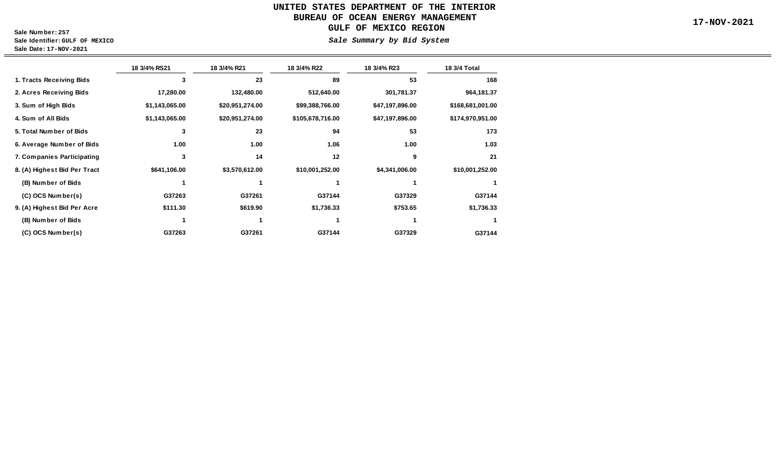# **UNITED STATES DEPARTMENT OF THE INTERIOR BUREAU OF OCEAN ENERGY MANAGEMENT 17-NOV-2021 GULF OF MEXICO REGION**

**Sale Number: 257 Sale Identifier: GULF OF MEXICO**

**Sale Date: 17-NOV-2021**

 **(C) OCS Number(s)**

#### **Sale Summary by Bid System**

**G37144**

**18 3/4% RS21 18 3/4% R21 18 3/4% R22 18 3/4% R23 1. Tracts Receiving Bids 3 23 89 53 2. Acres Receiving Bids 17,280.00 132,480.00 512,640.00 301,781.37 3. Sum of High Bids \$1,143,065.00 \$20,951,274.00 \$99,388,766.00 \$47,197,896.00 4. Sum of All Bids \$1,143,065.00 \$20,951,274.00 \$105,678,716.00 \$47,197,896.00 5. Total Number of Bids 3 23 94 53 6. Average Number of Bids 1.00 1.00 1.06 1.00 8. (A) Highest Bid Per Tract \$641,106.00 \$3,570,612.00 \$10,001,252.00 \$4,341,006.00 (C) OCS Number(s) (B) Number of Bids 7. Companies Participating 3 14 12 9 1** 1 1 1 1 1 **G37263 G37261 G37144 G37329 168 964,181.37 \$168,681,001.00 \$174,970,951.00 173 1.03 21 \$10,001,252.00 18 3/4 Total 9. (A) Highest Bid Per Acre (B) Number of Bids \$111.30 \$619.90 \$1,736.33 \$753.65 1** 1 1 1 1 1  **\$1,736.33 1 G37144 1**

**G37263 G37261 G37144 G37329**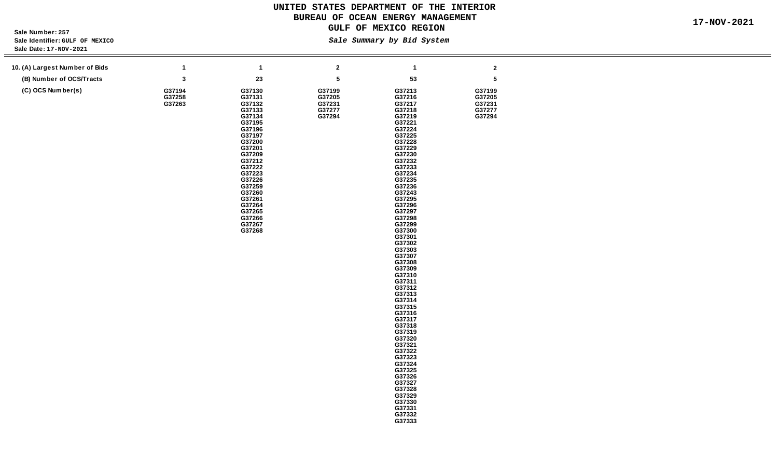> **G37326 G37327 G37328 G37329 G37330 G37331 G37332 G37333**

**Sale Number: 257** Sale Identifier: *GULF OF MEXICO*<br>Sale Date: 17-NOV-2021 **Sale Date: 17-**

| Sale Date: 17-NOV-2021         |                            |                                                                                                                                                                                                                                    |                                                |                                                                                                                                                                                                                                                                                                                                                                                                                                                                |                                                |  |
|--------------------------------|----------------------------|------------------------------------------------------------------------------------------------------------------------------------------------------------------------------------------------------------------------------------|------------------------------------------------|----------------------------------------------------------------------------------------------------------------------------------------------------------------------------------------------------------------------------------------------------------------------------------------------------------------------------------------------------------------------------------------------------------------------------------------------------------------|------------------------------------------------|--|
|                                |                            |                                                                                                                                                                                                                                    |                                                |                                                                                                                                                                                                                                                                                                                                                                                                                                                                |                                                |  |
| 10. (A) Largest Number of Bids | $\mathbf{1}$               | $\mathbf{1}$                                                                                                                                                                                                                       | $\bf{2}$                                       | $\mathbf{1}$                                                                                                                                                                                                                                                                                                                                                                                                                                                   | $\boldsymbol{2}$                               |  |
| (B) Number of OCS/Tracts       | 3                          | ${\bf 23}$                                                                                                                                                                                                                         | ${\bf 5}$                                      | 53                                                                                                                                                                                                                                                                                                                                                                                                                                                             | ${\bf 5}$                                      |  |
| (C) OCS Number(s)              | G37194<br>G37258<br>G37263 | G37130<br>G37131<br>G37132<br>G37133<br>G37134<br>G37195<br>G37196<br>G37197<br>G37200<br>G37201<br>G37209<br>G37212<br>G37222<br>G37223<br>G37226<br>G37259<br>G37260<br>G37261<br>G37264<br>G37265<br>G37266<br>G37267<br>G37268 | G37199<br>G37205<br>G37231<br>G37277<br>G37294 | G37213<br>G37216<br>G37217<br>G37218<br>G37219<br>G37221<br>G37224<br>G37225<br>G37228<br>G37229<br>G37230<br>G37232<br>G37233<br>G37234<br>G37235<br>G37236<br>G37243<br>G37295<br>G37296<br>G37297<br>G37298<br>G37299<br>G37300<br>G37301<br>G37302<br>G37303<br>G37307<br>G37308<br>G37309<br>G37310<br>G37311<br>G37312<br>G37313<br>G37314<br>G37315<br>G37316<br>G37317<br>G37318<br>G37319<br>G37320<br>G37321<br>G37322<br>G37323<br>G37324<br>G37325 | G37199<br>G37205<br>G37231<br>G37277<br>G37294 |  |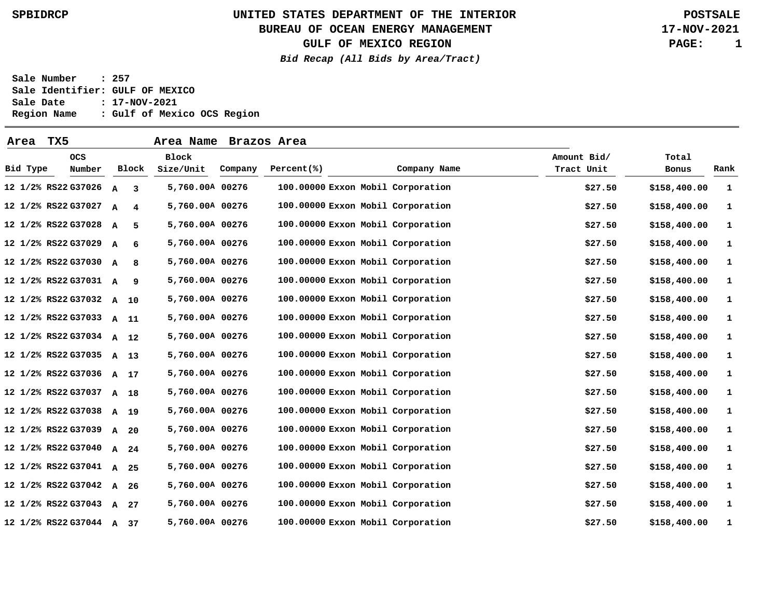### **BUREAU OF OCEAN ENERGY MANAGEMENT**

**GULF OF MEXICO REGION**

**Bid Recap (All Bids by Area/Tract)**

**17-NOV-2021 PAGE: 1**

| Area     | TX5                      |              |       | Area Name          |         | Brazos Area                       |              |                           |         |                |      |
|----------|--------------------------|--------------|-------|--------------------|---------|-----------------------------------|--------------|---------------------------|---------|----------------|------|
| Bid Type | <b>OCS</b><br>Number     |              | Block | Block<br>Size/Unit | Company | Percent(%)                        | Company Name | Amount Bid/<br>Tract Unit |         | Total<br>Bonus | Rank |
|          | 12 1/2% RS22 G37026      | A            | 3     | 5,760.00A 00276    |         | 100.00000 Exxon Mobil Corporation |              |                           | \$27.50 | \$158,400.00   | 1    |
|          | 12 1/2% RS22 G37027 A    |              | 4     | 5,760.00A 00276    |         | 100.00000 Exxon Mobil Corporation |              |                           | \$27.50 | \$158,400.00   | 1    |
|          | 12 1/2% RS22 G37028 A    |              | .5.   | 5,760.00A 00276    |         | 100.00000 Exxon Mobil Corporation |              |                           | \$27.50 | \$158,400.00   | 1    |
|          | 12 1/2% RS22 G37029 A    |              | 6     | 5,760.00A 00276    |         | 100.00000 Exxon Mobil Corporation |              |                           | \$27.50 | \$158,400.00   | 1    |
|          | 12 1/2% RS22 G37030 A    |              | 8     | 5,760.00A 00276    |         | 100.00000 Exxon Mobil Corporation |              |                           | \$27.50 | \$158,400.00   | 1    |
|          | 12 1/2% RS22 G37031 A    |              | -9    | 5,760.00A 00276    |         | 100.00000 Exxon Mobil Corporation |              |                           | \$27.50 | \$158,400.00   | 1    |
|          | 12 1/2% RS22 G37032 A 10 |              |       | 5,760.00A 00276    |         | 100.00000 Exxon Mobil Corporation |              |                           | \$27.50 | \$158,400.00   | 1    |
|          | 12 1/2% RS22 G37033 A 11 |              |       | 5,760.00A 00276    |         | 100.00000 Exxon Mobil Corporation |              |                           | \$27.50 | \$158,400.00   | 1    |
|          | 12 1/2% RS22 G37034 A 12 |              |       | 5,760.00A 00276    |         | 100.00000 Exxon Mobil Corporation |              |                           | \$27.50 | \$158,400.00   | 1    |
|          | 12 1/2% RS22 G37035 A 13 |              |       | 5,760.00A 00276    |         | 100.00000 Exxon Mobil Corporation |              |                           | \$27.50 | \$158,400.00   | 1    |
|          | 12 1/2% RS22 G37036 A 17 |              |       | 5,760.00A 00276    |         | 100.00000 Exxon Mobil Corporation |              |                           | \$27.50 | \$158,400.00   | 1    |
|          | 12 1/2% RS22 G37037 A 18 |              |       | 5,760.00A 00276    |         | 100.00000 Exxon Mobil Corporation |              |                           | \$27.50 | \$158,400.00   | 1    |
|          | 12 1/2% RS22 G37038      | A 19         |       | 5,760.00A 00276    |         | 100.00000 Exxon Mobil Corporation |              |                           | \$27.50 | \$158,400.00   | 1    |
|          | 12 1/2% RS22 G37039 A    |              | 20    | 5,760.00A 00276    |         | 100.00000 Exxon Mobil Corporation |              |                           | \$27.50 | \$158,400.00   | 1    |
|          | 12 1/2% RS22 G37040 A 24 |              |       | 5,760.00A 00276    |         | 100.00000 Exxon Mobil Corporation |              |                           | \$27.50 | \$158,400.00   | 1    |
|          | 12 1/2% RS22 G37041 A 25 |              |       | 5,760.00A 00276    |         | 100.00000 Exxon Mobil Corporation |              |                           | \$27.50 | \$158,400.00   | 1    |
|          | 12 1/2% RS22 G37042      | $\mathbf{A}$ | 26    | 5,760.00A 00276    |         | 100.00000 Exxon Mobil Corporation |              |                           | \$27.50 | \$158,400.00   | 1    |
|          | 12 1/2% RS22 G37043 A    |              | 27    | 5,760.00A 00276    |         | 100.00000 Exxon Mobil Corporation |              |                           | \$27.50 | \$158,400.00   | 1    |
|          | 12 1/2% RS22 G37044      |              | A 37  | 5,760.00A 00276    |         | 100.00000 Exxon Mobil Corporation |              |                           | \$27.50 | \$158,400.00   | 1    |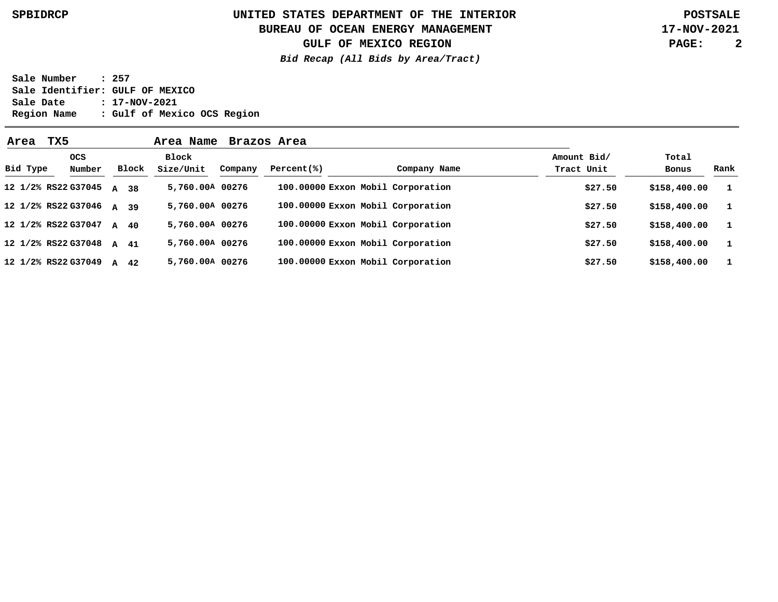### **BUREAU OF OCEAN ENERGY MANAGEMENT**

**GULF OF MEXICO REGION**

**Bid Recap (All Bids by Area/Tract)**

**17-NOV-2021 PAGE: 2**

| Area     | TX5                      |                |       | Area Name          |         | Brazos Area |                                   |                           |                |              |
|----------|--------------------------|----------------|-------|--------------------|---------|-------------|-----------------------------------|---------------------------|----------------|--------------|
| Bid Type | <b>OCS</b><br>Number     |                | Block | Block<br>Size/Unit | Company | Percent(% ) | Company Name                      | Amount Bid/<br>Tract Unit | Total<br>Bonus | Rank         |
|          | 12 1/2% RS22 G37045      | $\overline{A}$ | 38    | 5,760.00A 00276    |         |             | 100.00000 Exxon Mobil Corporation | \$27.50                   | \$158,400.00   | $\mathbf{1}$ |
|          | 12 1/2% RS22 G37046 A 39 |                |       | 5,760.00A 00276    |         |             | 100.00000 Exxon Mobil Corporation | \$27.50                   | \$158,400.00   | $\mathbf{1}$ |
|          | 12 1/2% RS22 G37047 A 40 |                |       | 5,760.00A 00276    |         |             | 100.00000 Exxon Mobil Corporation | \$27.50                   | \$158,400.00   | $\mathbf{1}$ |
|          | 12 1/2% RS22 G37048      | A 41           |       | 5,760.00A 00276    |         |             | 100.00000 Exxon Mobil Corporation | \$27.50                   | \$158,400.00   | $\mathbf{1}$ |
|          | 12 1/2% RS22 G37049      | $\lambda$      | 42    | 5,760.00A 00276    |         |             | 100.00000 Exxon Mobil Corporation | \$27.50                   | \$158,400.00   | $\mathbf{1}$ |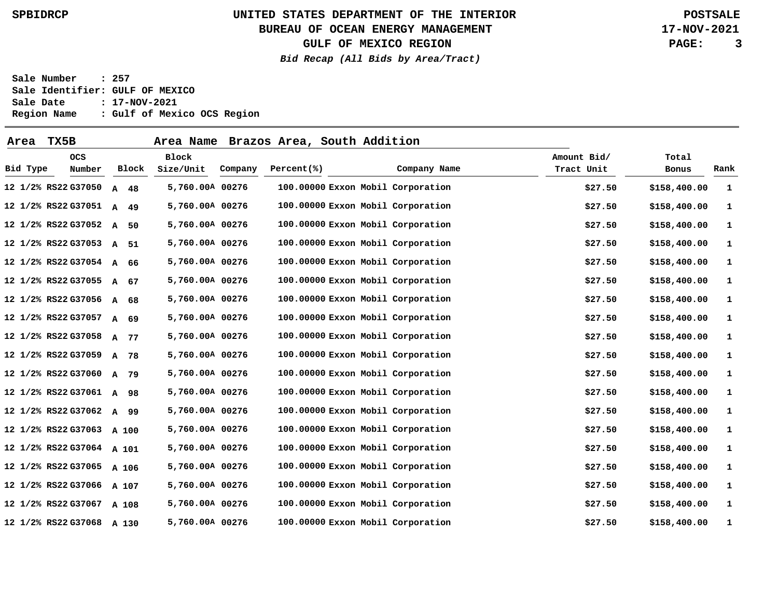**BUREAU OF OCEAN ENERGY MANAGEMENT**

**GULF OF MEXICO REGION**

**Bid Recap (All Bids by Area/Tract)**

**17-NOV-2021 PAGE: 3**

| Area     | TX5B                      |                    | Area Name       |         | Brazos Area, South Addition       |              |             |              |      |
|----------|---------------------------|--------------------|-----------------|---------|-----------------------------------|--------------|-------------|--------------|------|
|          | <b>OCS</b>                |                    | Block           |         |                                   |              | Amount Bid/ | Total        |      |
| Bid Type | Number                    | Block              | Size/Unit       | Company | Percent(% )                       | Company Name | Tract Unit  | Bonus        | Rank |
|          | 12 1/2% RS22 G37050       | $\mathbf{A}$<br>48 | 5,760.00A 00276 |         | 100.00000 Exxon Mobil Corporation |              | \$27.50     | \$158,400.00 | 1    |
|          | 12 1/2% RS22 G37051 A 49  |                    | 5,760.00A 00276 |         | 100.00000 Exxon Mobil Corporation |              | \$27.50     | \$158,400.00 | 1    |
|          | 12 1/2% RS22 G37052 A     | 50                 | 5,760.00A 00276 |         | 100.00000 Exxon Mobil Corporation |              | \$27.50     | \$158,400.00 | 1    |
|          | 12 1/2% RS22 G37053 A     | 51                 | 5,760.00A 00276 |         | 100.00000 Exxon Mobil Corporation |              | \$27.50     | \$158,400.00 | 1    |
|          | 12 1/2% RS22 G37054 A     | 66                 | 5,760.00A 00276 |         | 100.00000 Exxon Mobil Corporation |              | \$27.50     | \$158,400.00 | 1    |
|          | 12 1/2% RS22 G37055 A 67  |                    | 5,760.00A 00276 |         | 100.00000 Exxon Mobil Corporation |              | \$27.50     | \$158,400.00 | 1    |
|          | 12 1/2% RS22 G37056 A 68  |                    | 5,760.00A 00276 |         | 100.00000 Exxon Mobil Corporation |              | \$27.50     | \$158,400.00 | 1    |
|          | 12 1/2% RS22 G37057       | $\mathbf{A}$<br>69 | 5,760.00A 00276 |         | 100.00000 Exxon Mobil Corporation |              | \$27.50     | \$158,400.00 | 1    |
|          | 12 1/2% RS22 G37058 A     | 77                 | 5,760.00A 00276 |         | 100.00000 Exxon Mobil Corporation |              | \$27.50     | \$158,400.00 | 1    |
|          | 12 1/2% RS22 G37059 A     | 78                 | 5,760.00A 00276 |         | 100.00000 Exxon Mobil Corporation |              | \$27.50     | \$158,400.00 | 1    |
|          | 12 1/2% RS22 G37060 A 79  |                    | 5,760.00A 00276 |         | 100.00000 Exxon Mobil Corporation |              | \$27.50     | \$158,400.00 | 1    |
|          | 12 1/2% RS22 G37061 A 98  |                    | 5,760.00A 00276 |         | 100.00000 Exxon Mobil Corporation |              | \$27.50     | \$158,400.00 | 1    |
|          | 12 1/2% RS22 G37062 A     | 99                 | 5,760.00A 00276 |         | 100.00000 Exxon Mobil Corporation |              | \$27.50     | \$158,400.00 | 1    |
|          | 12 1/2% RS22 G37063 A 100 |                    | 5,760.00A 00276 |         | 100.00000 Exxon Mobil Corporation |              | \$27.50     | \$158,400.00 | 1    |
|          | 12 1/2% RS22 G37064 A 101 |                    | 5,760.00A 00276 |         | 100.00000 Exxon Mobil Corporation |              | \$27.50     | \$158,400.00 | 1    |
|          | 12 1/2% RS22 G37065 A 106 |                    | 5,760.00A 00276 |         | 100.00000 Exxon Mobil Corporation |              | \$27.50     | \$158,400.00 | 1    |
|          | 12 1/2% RS22 G37066 A 107 |                    | 5,760.00A 00276 |         | 100.00000 Exxon Mobil Corporation |              | \$27.50     | \$158,400.00 | 1    |
|          | 12 1/2% RS22 G37067 A 108 |                    | 5,760.00A 00276 |         | 100.00000 Exxon Mobil Corporation |              | \$27.50     | \$158,400.00 | 1    |
|          | 12 1/2% RS22 G37068 A 130 |                    | 5,760.00A 00276 |         | 100.00000 Exxon Mobil Corporation |              | \$27.50     | \$158,400.00 | 1    |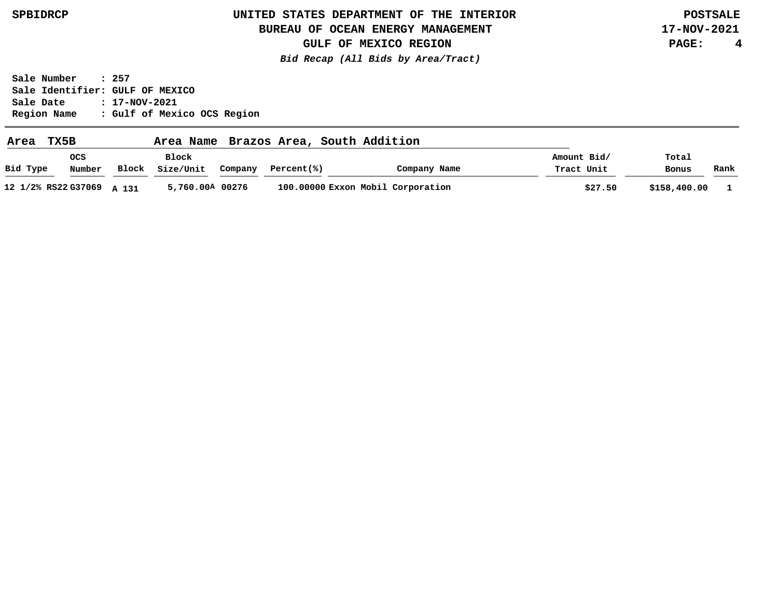### **BUREAU OF OCEAN ENERGY MANAGEMENT**

**17-NOV-2021 PAGE: 4**

**GULF OF MEXICO REGION Bid Recap (All Bids by Area/Tract)**

| Area     | TX5B                      |       | Area Name          |         |            | Brazos Area, South Addition |                                   |                           |                |      |
|----------|---------------------------|-------|--------------------|---------|------------|-----------------------------|-----------------------------------|---------------------------|----------------|------|
| Bid Type | <b>OCS</b><br>Number      | Block | Block<br>Size/Unit | Company | Percent(%) |                             | Company Name                      | Amount Bid/<br>Tract Unit | Total<br>Bonus | Rank |
|          | 12 1/2% RS22 G37069 A 131 |       | 5,760.00A 00276    |         |            |                             | 100.00000 Exxon Mobil Corporation | \$27.50                   | \$158,400.00   |      |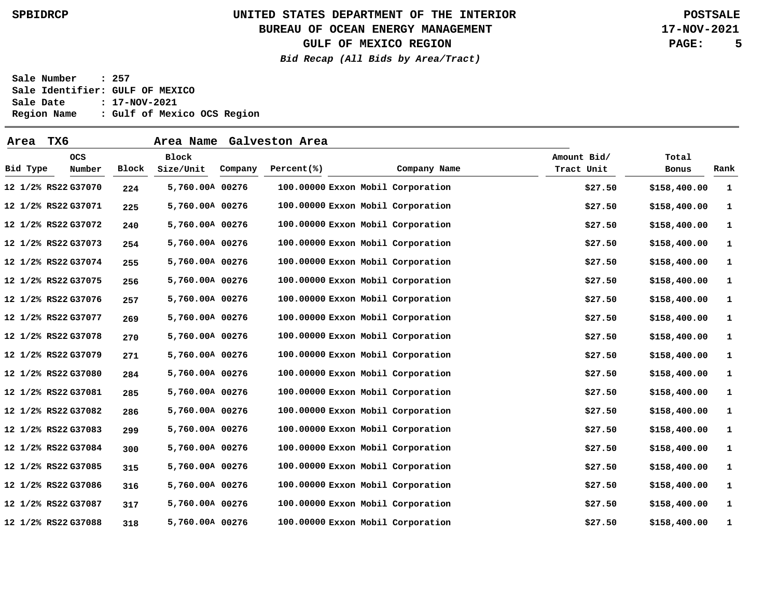### **BUREAU OF OCEAN ENERGY MANAGEMENT**

**GULF OF MEXICO REGION**

**Bid Recap (All Bids by Area/Tract)**

**17-NOV-2021 PAGE: 5**

| Area     | TX6                  |       | Area Name                 |         | Galveston Area                    |              |                           |         |                |      |
|----------|----------------------|-------|---------------------------|---------|-----------------------------------|--------------|---------------------------|---------|----------------|------|
| Bid Type | <b>OCS</b><br>Number | Block | <b>Block</b><br>Size/Unit | Company | Percent(% )                       | Company Name | Amount Bid/<br>Tract Unit |         | Total<br>Bonus | Rank |
|          | 12 1/2% RS22 G37070  | 224   | 5,760.00A 00276           |         | 100.00000 Exxon Mobil Corporation |              |                           | \$27.50 | \$158,400.00   | 1    |
|          | 12 1/2% RS22 G37071  | 225   | 5,760.00A 00276           |         | 100.00000 Exxon Mobil Corporation |              |                           | \$27.50 | \$158,400.00   | 1    |
|          | 12 1/2% RS22 G37072  | 240   | 5,760.00A 00276           |         | 100.00000 Exxon Mobil Corporation |              |                           | \$27.50 | \$158,400.00   | 1    |
|          | 12 1/2% RS22 G37073  | 254   | 5,760.00A 00276           |         | 100.00000 Exxon Mobil Corporation |              |                           | \$27.50 | \$158,400.00   | 1    |
|          | 12 1/2% RS22 G37074  | 255   | 5,760.00A 00276           |         | 100.00000 Exxon Mobil Corporation |              |                           | \$27.50 | \$158,400.00   | 1    |
|          | 12 1/2% RS22 G37075  | 256   | 5,760.00A 00276           |         | 100.00000 Exxon Mobil Corporation |              |                           | \$27.50 | \$158,400.00   | 1    |
|          | 12 1/2% RS22 G37076  | 257   | 5,760.00A 00276           |         | 100.00000 Exxon Mobil Corporation |              |                           | \$27.50 | \$158,400.00   | 1    |
|          | 12 1/2% RS22 G37077  | 269   | 5,760.00A 00276           |         | 100.00000 Exxon Mobil Corporation |              |                           | \$27.50 | \$158,400.00   | 1    |
|          | 12 1/2% RS22 G37078  | 270   | 5,760.00A 00276           |         | 100.00000 Exxon Mobil Corporation |              |                           | \$27.50 | \$158,400.00   | 1    |
|          | 12 1/2% RS22 G37079  | 271   | 5,760.00A 00276           |         | 100.00000 Exxon Mobil Corporation |              |                           | \$27.50 | \$158,400.00   | 1    |
|          | 12 1/2% RS22 G37080  | 284   | 5,760.00A 00276           |         | 100.00000 Exxon Mobil Corporation |              |                           | \$27.50 | \$158,400.00   | 1    |
|          | 12 1/2% RS22 G37081  | 285   | 5,760.00A 00276           |         | 100.00000 Exxon Mobil Corporation |              |                           | \$27.50 | \$158,400.00   | 1    |
|          | 12 1/2% RS22 G37082  | 286   | 5,760.00A 00276           |         | 100.00000 Exxon Mobil Corporation |              |                           | \$27.50 | \$158,400.00   | 1    |
|          | 12 1/2% RS22 G37083  | 299   | 5,760.00A 00276           |         | 100.00000 Exxon Mobil Corporation |              |                           | \$27.50 | \$158,400.00   | 1    |
|          | 12 1/2% RS22 G37084  | 300   | 5,760.00A 00276           |         | 100.00000 Exxon Mobil Corporation |              |                           | \$27.50 | \$158,400.00   | 1    |
|          | 12 1/2% RS22 G37085  | 315   | 5,760.00A 00276           |         | 100.00000 Exxon Mobil Corporation |              |                           | \$27.50 | \$158,400.00   | 1    |
|          | 12 1/2% RS22 G37086  | 316   | 5,760.00A 00276           |         | 100.00000 Exxon Mobil Corporation |              |                           | \$27.50 | \$158,400.00   | 1    |
|          | 12 1/2% RS22 G37087  | 317   | 5,760.00A 00276           |         | 100.00000 Exxon Mobil Corporation |              |                           | \$27.50 | \$158,400.00   | 1    |
|          | 12 1/2% RS22 G37088  | 318   | 5,760.00A 00276           |         | 100.00000 Exxon Mobil Corporation |              |                           | \$27.50 | \$158,400.00   | 1    |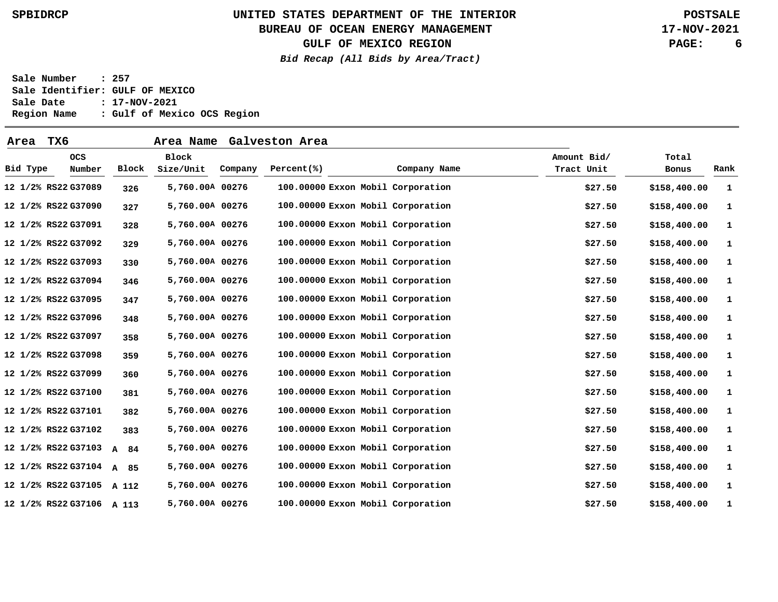### **BUREAU OF OCEAN ENERGY MANAGEMENT**

**GULF OF MEXICO REGION**

**Bid Recap (All Bids by Area/Tract)**

**17-NOV-2021 PAGE: 6**

| Area     | TX6                       |                    | Area Name                 |         | Galveston Area |                                   |                           |                |      |
|----------|---------------------------|--------------------|---------------------------|---------|----------------|-----------------------------------|---------------------------|----------------|------|
| Bid Type | <b>OCS</b><br>Number      | Block              | <b>Block</b><br>Size/Unit | Company | Percent(% )    | Company Name                      | Amount Bid/<br>Tract Unit | Total<br>Bonus | Rank |
|          | 12 1/2% RS22 G37089       | 326                | 5,760.00A 00276           |         |                | 100.00000 Exxon Mobil Corporation | \$27.50                   | \$158,400.00   | 1    |
|          | 12 1/2% RS22 G37090       | 327                | 5,760.00A 00276           |         |                | 100.00000 Exxon Mobil Corporation | \$27.50                   | \$158,400.00   | 1    |
|          | 12 1/2% RS22 G37091       | 328                | 5,760.00A 00276           |         |                | 100.00000 Exxon Mobil Corporation | \$27.50                   | \$158,400.00   | 1    |
|          | 12 1/2% RS22 G37092       | 329                | 5,760.00A 00276           |         |                | 100.00000 Exxon Mobil Corporation | \$27.50                   | \$158,400.00   | 1    |
|          | 12 1/2% RS22 G37093       | 330                | 5,760.00A 00276           |         |                | 100.00000 Exxon Mobil Corporation | \$27.50                   | \$158,400.00   | 1    |
|          | 12 1/2% RS22 G37094       | 346                | 5,760.00A 00276           |         |                | 100.00000 Exxon Mobil Corporation | \$27.50                   | \$158,400.00   | 1    |
|          | 12 1/2% RS22 G37095       | 347                | 5,760.00A 00276           |         |                | 100.00000 Exxon Mobil Corporation | \$27.50                   | \$158,400.00   | 1    |
|          | 12 1/2% RS22 G37096       | 348                | 5,760.00A 00276           |         |                | 100.00000 Exxon Mobil Corporation | \$27.50                   | \$158,400.00   | 1    |
|          | 12 1/2% RS22 G37097       | 358                | 5,760.00A 00276           |         |                | 100.00000 Exxon Mobil Corporation | \$27.50                   | \$158,400.00   | 1    |
|          | 12 1/2% RS22 G37098       | 359                | 5,760.00A 00276           |         |                | 100.00000 Exxon Mobil Corporation | \$27.50                   | \$158,400.00   | 1    |
|          | 12 1/2% RS22 G37099       | 360                | 5,760.00A 00276           |         |                | 100.00000 Exxon Mobil Corporation | \$27.50                   | \$158,400.00   | 1    |
|          | 12 1/2% RS22 G37100       | 381                | 5,760.00A 00276           |         |                | 100.00000 Exxon Mobil Corporation | \$27.50                   | \$158,400.00   | 1    |
|          | 12 1/2% RS22 G37101       | 382                | 5,760.00A 00276           |         |                | 100.00000 Exxon Mobil Corporation | \$27.50                   | \$158,400.00   | 1    |
|          | 12 1/2% RS22 G37102       | 383                | 5,760.00A 00276           |         |                | 100.00000 Exxon Mobil Corporation | \$27.50                   | \$158,400.00   | 1    |
|          | 12 1/2% RS22 G37103       | $\mathbf{A}$<br>84 | 5,760.00A 00276           |         |                | 100.00000 Exxon Mobil Corporation | \$27.50                   | \$158,400.00   | 1    |
|          | 12 1/2% RS22 G37104       | A 85               | 5,760.00A 00276           |         |                | 100.00000 Exxon Mobil Corporation | \$27.50                   | \$158,400.00   | 1    |
|          | 12 1/2% RS22 G37105       | A 112              | 5,760.00A 00276           |         |                | 100.00000 Exxon Mobil Corporation | \$27.50                   | \$158,400.00   | 1    |
|          | 12 1/2% RS22 G37106 A 113 |                    | 5,760.00A 00276           |         |                | 100.00000 Exxon Mobil Corporation | \$27.50                   | \$158,400.00   | 1    |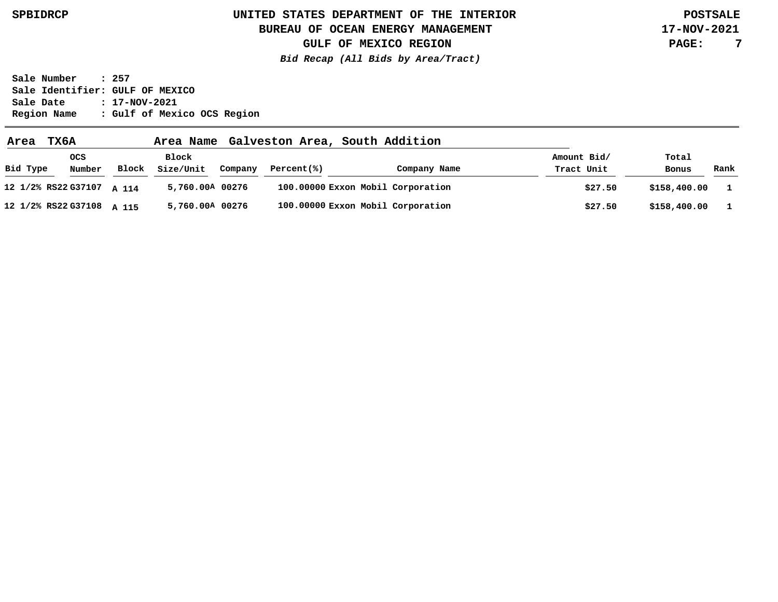### **BUREAU OF OCEAN ENERGY MANAGEMENT**

**17-NOV-2021 PAGE: 7**

**GULF OF MEXICO REGION Bid Recap (All Bids by Area/Tract)**

| Area                      | <b>TX6A</b>          |       | Area Name          |         | Galveston Area, South Addition |                                   |                           |                |              |
|---------------------------|----------------------|-------|--------------------|---------|--------------------------------|-----------------------------------|---------------------------|----------------|--------------|
| Bid Type                  | <b>OCS</b><br>Number | Block | Block<br>Size/Unit | Company | Percent(%)                     | Company Name                      | Amount Bid/<br>Tract Unit | Total<br>Bonus | Rank         |
| 12 1/2% RS22 G37107 A 114 |                      |       | 5,760.00A 00276    |         |                                | 100.00000 Exxon Mobil Corporation | \$27.50                   | \$158,400.00   | $\mathbf{1}$ |
| 12 1/2% RS22 G37108 A 115 |                      |       | 5,760.00A 00276    |         |                                | 100.00000 Exxon Mobil Corporation | \$27.50                   | \$158,400.00   |              |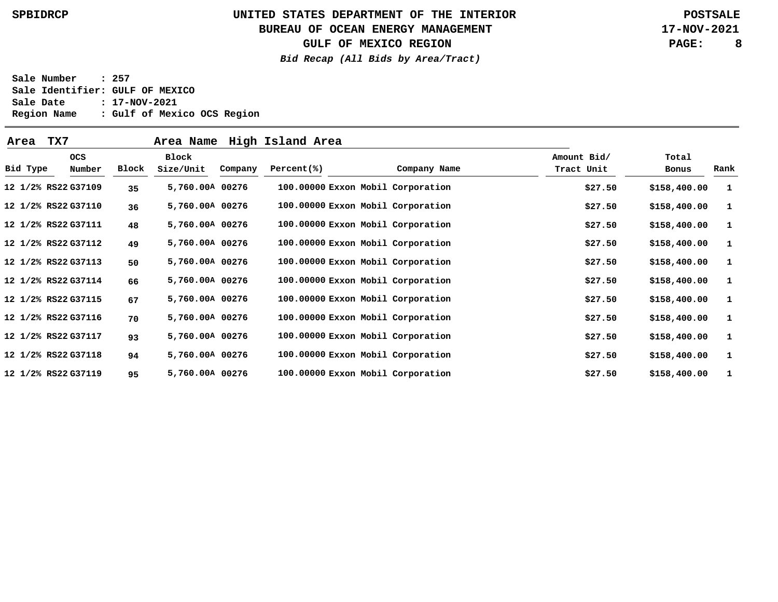### **BUREAU OF OCEAN ENERGY MANAGEMENT**

**GULF OF MEXICO REGION**

**Bid Recap (All Bids by Area/Tract)**

**17-NOV-2021 PAGE: 8**

| Area     | TX7                 |       | Area Name       |         | High Island Area                  |              |             |              |              |
|----------|---------------------|-------|-----------------|---------|-----------------------------------|--------------|-------------|--------------|--------------|
|          | <b>OCS</b>          |       | Block           |         |                                   |              | Amount Bid/ | Total        |              |
| Bid Type | Number              | Block | Size/Unit       | Company | Percent(% )                       | Company Name | Tract Unit  | Bonus        | Rank         |
|          | 12 1/2% RS22 G37109 | 35    | 5,760.00A 00276 |         | 100.00000 Exxon Mobil Corporation |              | \$27.50     | \$158,400.00 | $\mathbf{1}$ |
|          | 12 1/2% RS22 G37110 | 36    | 5,760.00A 00276 |         | 100.00000 Exxon Mobil Corporation |              | \$27.50     | \$158,400.00 | <b>1</b>     |
|          | 12 1/2% RS22 G37111 | 48    | 5,760.00A 00276 |         | 100.00000 Exxon Mobil Corporation |              | \$27.50     | \$158,400.00 | <b>1</b>     |
|          | 12 1/2% RS22 G37112 | 49    | 5,760.00A 00276 |         | 100.00000 Exxon Mobil Corporation |              | \$27.50     | \$158,400.00 | - 1          |
|          | 12 1/2% RS22 G37113 | 50    | 5,760.00A 00276 |         | 100.00000 Exxon Mobil Corporation |              | \$27.50     | \$158,400.00 | - 1          |
|          | 12 1/2% RS22 G37114 | 66    | 5,760.00A 00276 |         | 100.00000 Exxon Mobil Corporation |              | \$27.50     | \$158,400.00 | $\mathbf{1}$ |
|          | 12 1/2% RS22 G37115 | 67    | 5,760.00A 00276 |         | 100.00000 Exxon Mobil Corporation |              | \$27.50     | \$158,400.00 | $\mathbf{1}$ |
|          | 12 1/2% RS22 G37116 | 70    | 5,760.00A 00276 |         | 100.00000 Exxon Mobil Corporation |              | \$27.50     | \$158,400.00 | $\mathbf{1}$ |
|          | 12 1/2% RS22 G37117 | 93    | 5,760.00A 00276 |         | 100.00000 Exxon Mobil Corporation |              | \$27.50     | \$158,400.00 | <b>1</b>     |
|          | 12 1/2% RS22 G37118 | 94    | 5,760.00A 00276 |         | 100.00000 Exxon Mobil Corporation |              | \$27.50     | \$158,400.00 | - 1          |
|          | 12 1/2% RS22 G37119 | 95    | 5,760.00A 00276 |         | 100.00000 Exxon Mobil Corporation |              | \$27.50     | \$158,400.00 | $\mathbf{1}$ |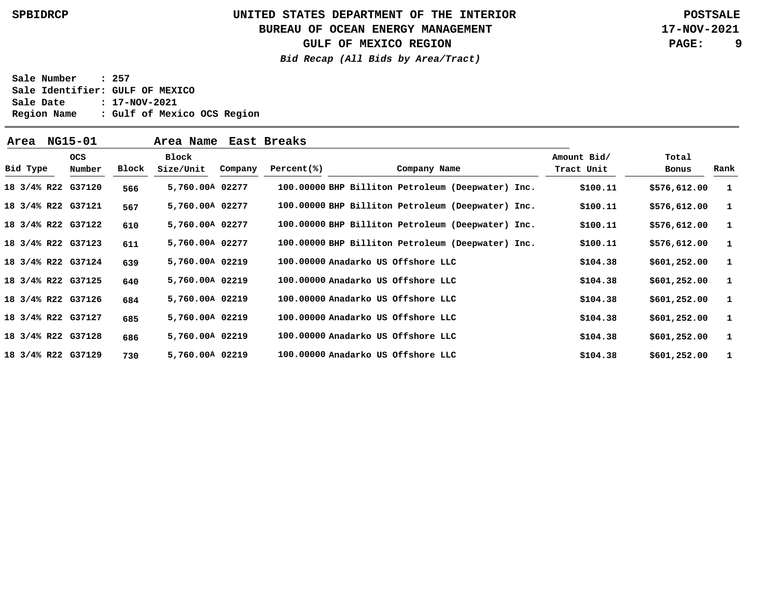### **BUREAU OF OCEAN ENERGY MANAGEMENT**

**GULF OF MEXICO REGION**

**Bid Recap (All Bids by Area/Tract)**

**17-NOV-2021 PAGE: 9**

| Area               | NG15-01    |        |       | Area Name          |         | East Breaks |                                                   |  |                           |                |      |
|--------------------|------------|--------|-------|--------------------|---------|-------------|---------------------------------------------------|--|---------------------------|----------------|------|
| Bid Type           | <b>OCS</b> | Number | Block | Block<br>Size/Unit | Company | Percent(% ) | Company Name                                      |  | Amount Bid/<br>Tract Unit | Total<br>Bonus | Rank |
| 18 3/4% R22 G37120 |            |        | 566   | 5,760.00A 02277    |         |             | 100.00000 BHP Billiton Petroleum (Deepwater) Inc. |  | \$100.11                  | \$576,612.00   | -1   |
| 18 3/4% R22 G37121 |            |        | 567   | 5,760.00A 02277    |         |             | 100.00000 BHP Billiton Petroleum (Deepwater) Inc. |  | \$100.11                  | \$576,612.00   | -1   |
| 18 3/4% R22 G37122 |            |        | 610   | 5,760.00A 02277    |         |             | 100.00000 BHP Billiton Petroleum (Deepwater) Inc. |  | \$100.11                  | \$576,612.00   | -1   |
| 18 3/4% R22 G37123 |            |        | 611   | 5,760.00A 02277    |         |             | 100.00000 BHP Billiton Petroleum (Deepwater) Inc. |  | \$100.11                  | \$576,612.00   | -1   |
| 18 3/4% R22 G37124 |            |        | 639   | 5,760.00A 02219    |         |             | 100.00000 Anadarko US Offshore LLC                |  | \$104.38                  | \$601,252.00   | -1   |
| 18 3/4% R22 G37125 |            |        | 640   | 5,760.00A 02219    |         |             | 100.00000 Anadarko US Offshore LLC                |  | \$104.38                  | \$601,252.00   | -1   |
| 18 3/4% R22 G37126 |            |        | 684   | 5,760.00A 02219    |         |             | 100.00000 Anadarko US Offshore LLC                |  | \$104.38                  | \$601,252.00   | -1   |
| 18 3/4% R22 G37127 |            |        | 685   | 5,760.00A 02219    |         |             | 100.00000 Anadarko US Offshore LLC                |  | \$104.38                  | \$601,252.00   | -1   |
| 18 3/4% R22 G37128 |            |        | 686   | 5,760.00A 02219    |         |             | 100.00000 Anadarko US Offshore LLC                |  | \$104.38                  | \$601,252.00   | -1   |
| 18 3/4% R22 G37129 |            |        | 730   | 5,760.00A 02219    |         |             | 100.00000 Anadarko US Offshore LLC                |  | \$104.38                  | \$601,252.00   |      |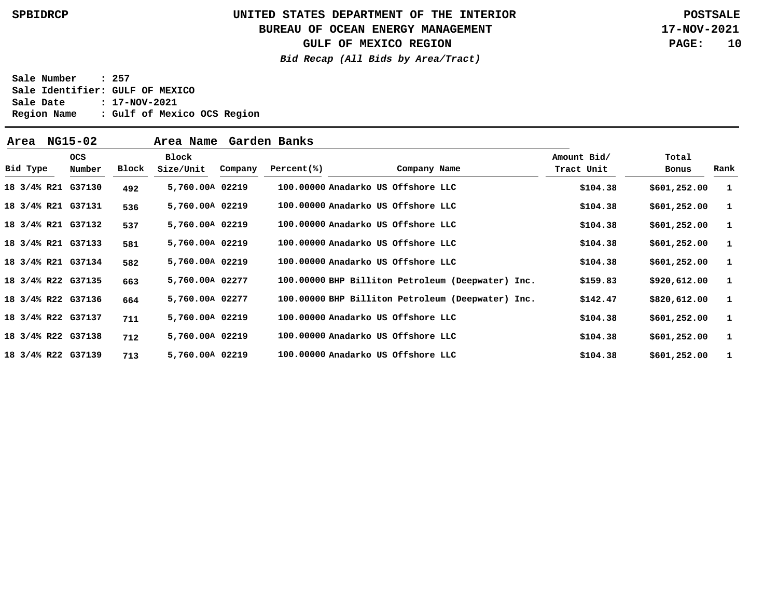### **BUREAU OF OCEAN ENERGY MANAGEMENT**

**GULF OF MEXICO REGION**

**Bid Recap (All Bids by Area/Tract)**

**17-NOV-2021 PAGE: 10**

| Area               | NG15-02              |       | Area Name          |         | Garden Banks |                                    |              |                                                   |                           |                |              |
|--------------------|----------------------|-------|--------------------|---------|--------------|------------------------------------|--------------|---------------------------------------------------|---------------------------|----------------|--------------|
| Bid Type           | <b>OCS</b><br>Number | Block | Block<br>Size/Unit | Company | Percent(% )  |                                    | Company Name |                                                   | Amount Bid/<br>Tract Unit | Total<br>Bonus | Rank         |
| 18 3/4% R21 G37130 |                      | 492   | 5,760.00A 02219    |         |              | 100.00000 Anadarko US Offshore LLC |              |                                                   | \$104.38                  | \$601, 252.00  | - 1          |
| 18 3/4% R21 G37131 |                      | 536   | 5,760.00A 02219    |         |              | 100.00000 Anadarko US Offshore LLC |              |                                                   | \$104.38                  | \$601, 252.00  | - 1          |
| 18 3/4% R21 G37132 |                      | 537   | 5,760.00A 02219    |         |              | 100.00000 Anadarko US Offshore LLC |              |                                                   | \$104.38                  | \$601,252.00   | - 1          |
| 18 3/4% R21 G37133 |                      | 581   | 5,760.00A 02219    |         |              | 100.00000 Anadarko US Offshore LLC |              |                                                   | \$104.38                  | \$601, 252.00  | - 1          |
| 18 3/4% R21 G37134 |                      | 582   | 5,760.00A 02219    |         |              | 100.00000 Anadarko US Offshore LLC |              |                                                   | \$104.38                  | \$601, 252.00  | - 1          |
| 18 3/4% R22 G37135 |                      | 663   | 5,760.00A 02277    |         |              |                                    |              | 100.00000 BHP Billiton Petroleum (Deepwater) Inc. | \$159.83                  | \$920,612.00   | $\mathbf{1}$ |
| 18 3/4% R22 G37136 |                      | 664   | 5,760.00A 02277    |         |              |                                    |              | 100.00000 BHP Billiton Petroleum (Deepwater) Inc. | \$142.47                  | \$820,612.00   | - 1          |
| 18 3/4% R22 G37137 |                      | 711   | 5,760.00A 02219    |         |              | 100.00000 Anadarko US Offshore LLC |              |                                                   | \$104.38                  | \$601, 252.00  | - 1          |
| 18 3/4% R22 G37138 |                      | 712   | 5,760.00A 02219    |         |              | 100.00000 Anadarko US Offshore LLC |              |                                                   | \$104.38                  | \$601,252.00   | $\mathbf{1}$ |
| 18 3/4% R22 G37139 |                      | 713   | 5,760.00A 02219    |         |              | 100.00000 Anadarko US Offshore LLC |              |                                                   | \$104.38                  | \$601,252.00   | $\mathbf{1}$ |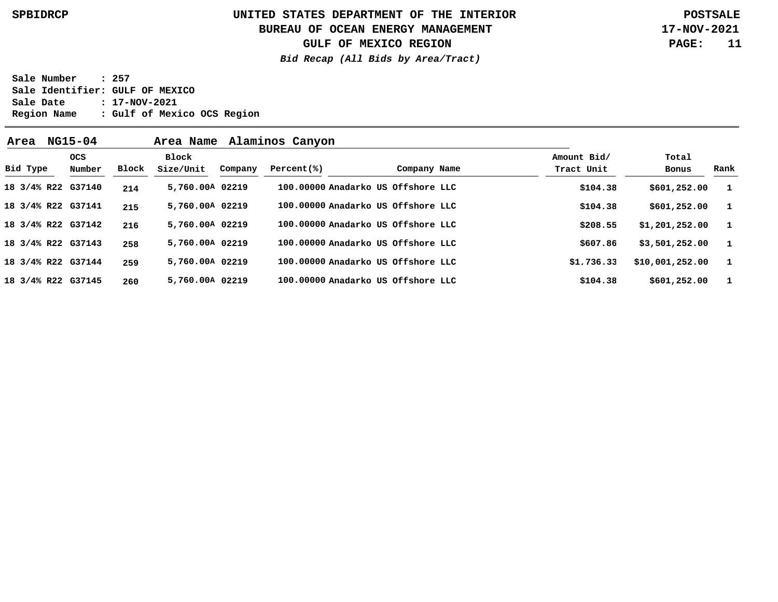### **BUREAU OF OCEAN ENERGY MANAGEMENT**

**GULF OF MEXICO REGION**

**Bid Recap (All Bids by Area/Tract)**

**17-NOV-2021 PAGE: 11**

| NG15-04<br>Alaminos Canyon<br>Area Name<br>Area |  |                    |       |                    |         |             |                                    |              |                           |                 |              |
|-------------------------------------------------|--|--------------------|-------|--------------------|---------|-------------|------------------------------------|--------------|---------------------------|-----------------|--------------|
| Bid Type                                        |  | ocs<br>Number      | Block | Block<br>Size/Unit | Company | Percent(% ) |                                    | Company Name | Amount Bid/<br>Tract Unit | Total<br>Bonus  | Rank         |
|                                                 |  | 18 3/4% R22 G37140 | 214   | 5,760.00A 02219    |         |             | 100.00000 Anadarko US Offshore LLC |              | \$104.38                  | \$601, 252.00   | - 1          |
|                                                 |  | 18 3/4% R22 G37141 | 215   | 5,760.00A 02219    |         |             | 100.00000 Anadarko US Offshore LLC |              | \$104.38                  | \$601,252.00    | $\mathbf{1}$ |
|                                                 |  | 18 3/4% R22 G37142 | 216   | 5,760.00A 02219    |         |             | 100.00000 Anadarko US Offshore LLC |              | \$208.55                  | \$1,201,252.00  | $\mathbf{1}$ |
|                                                 |  | 18 3/4% R22 G37143 | 258   | 5,760.00A 02219    |         |             | 100.00000 Anadarko US Offshore LLC |              | \$607.86                  | \$3,501,252.00  | $\mathbf{1}$ |
|                                                 |  | 18 3/4% R22 G37144 | 259   | 5,760.00A 02219    |         |             | 100.00000 Anadarko US Offshore LLC |              | \$1,736.33                | \$10,001,252.00 |              |
|                                                 |  | 18 3/4% R22 G37145 | 260   | 5,760.00A 02219    |         |             | 100.00000 Anadarko US Offshore LLC |              | \$104.38                  | \$601, 252.00   |              |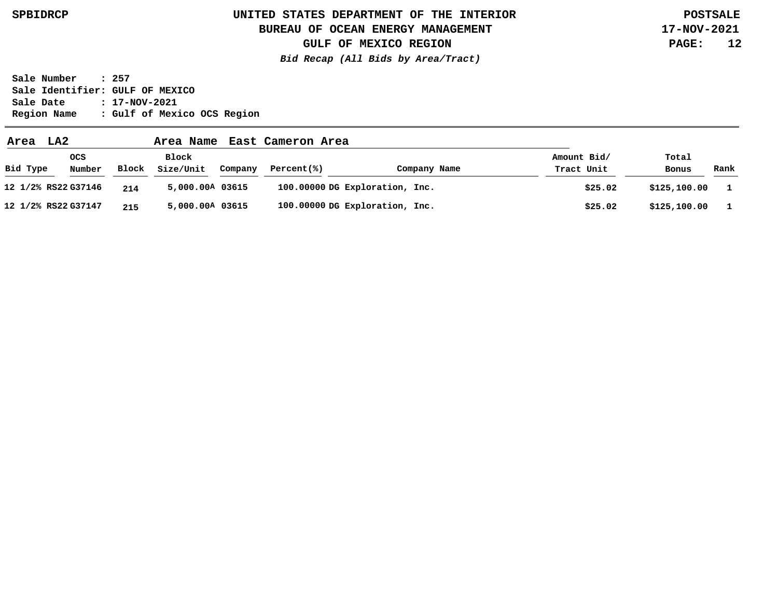### **BUREAU OF OCEAN ENERGY MANAGEMENT**

**GULF OF MEXICO REGION**

**Bid Recap (All Bids by Area/Tract)**

**17-NOV-2021 PAGE: 12**

| LA2<br>Area         |               |       | Area Name          |         | East Cameron Area |                                |                           |                |      |
|---------------------|---------------|-------|--------------------|---------|-------------------|--------------------------------|---------------------------|----------------|------|
| Bid Type            | ocs<br>Number | Block | Block<br>Size/Unit | Company | Percent(%)        | Company Name                   | Amount Bid/<br>Tract Unit | Total<br>Bonus | Rank |
| 12 1/2% RS22 G37146 |               | 214   | 5,000.00A 03615    |         |                   | 100.00000 DG Exploration, Inc. | \$25.02                   | \$125,100.00   |      |
| 12 1/2% RS22 G37147 |               | 215   | 5,000.00A 03615    |         |                   | 100.00000 DG Exploration, Inc. | \$25.02                   | \$125,100.00   |      |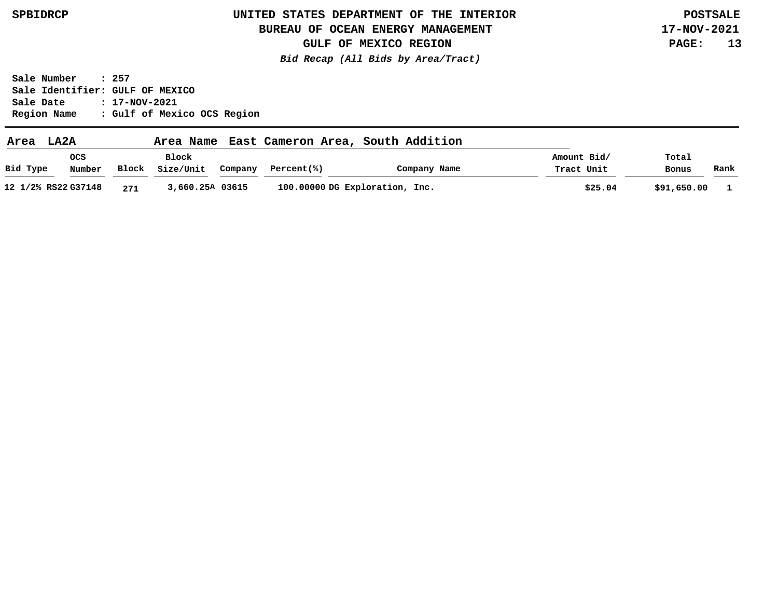### **BUREAU OF OCEAN ENERGY MANAGEMENT**

**17-NOV-2021 PAGE: 13**

**GULF OF MEXICO REGION Bid Recap (All Bids by Area/Tract)**

| Area     | LA2A                |       | Area Name          |         |            | East Cameron Area, South Addition |                           |                |      |
|----------|---------------------|-------|--------------------|---------|------------|-----------------------------------|---------------------------|----------------|------|
| Bid Type | ocs<br>Number       | Block | Block<br>Size/Unit | Company | Percent(%) | Company Name                      | Amount Bid/<br>Tract Unit | Total<br>Bonus | Rank |
|          | 12 1/2% RS22 G37148 | 271   | 3,660.25A 03615    |         |            | 100.00000 DG Exploration, Inc.    | \$25.04                   | \$91,650.00    |      |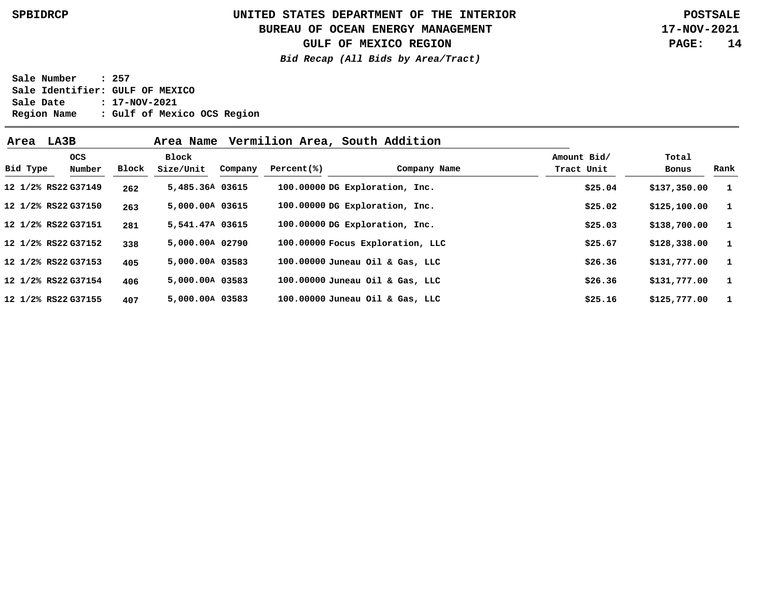### **BUREAU OF OCEAN ENERGY MANAGEMENT**

**GULF OF MEXICO REGION**

**Bid Recap (All Bids by Area/Tract)**

**17-NOV-2021 PAGE: 14**

| Area LA3B                 |       | Area Name          |         |             | Vermilion Area, South Addition   |                           |                |              |
|---------------------------|-------|--------------------|---------|-------------|----------------------------------|---------------------------|----------------|--------------|
| ocs<br>Bid Type<br>Number | Block | Block<br>Size/Unit | Company | Percent(% ) | Company Name                     | Amount Bid/<br>Tract Unit | Total<br>Bonus | Rank         |
| 12 1/2% RS22 G37149       | 262   | 5,485.36A 03615    |         |             | 100.00000 DG Exploration, Inc.   | \$25.04                   | \$137,350.00   | -1           |
| 12 1/2% RS22 G37150       | 263   | 5,000.00A 03615    |         |             | 100.00000 DG Exploration, Inc.   | \$25.02                   | \$125,100.00   | - 1          |
| 12 1/2% RS22 G37151       | 281   | 5,541.47A 03615    |         |             | 100.00000 DG Exploration, Inc.   | \$25.03                   | \$138,700.00   | -1           |
| 12 1/2% RS22 G37152       | 338   | 5,000.00A 02790    |         |             | 100.00000 Focus Exploration, LLC | \$25.67                   | \$128,338.00   | $\mathbf{1}$ |
| 12 1/2% RS22 G37153       | 405   | 5,000.00A 03583    |         |             | 100.00000 Juneau Oil & Gas, LLC  | \$26.36                   | \$131,777.00   | - 1          |
| 12 1/2% RS22 G37154       | 406   | 5,000.00A 03583    |         |             | 100.00000 Juneau Oil & Gas, LLC  | \$26.36                   | \$131,777.00   | - 1          |
| 12 1/2% RS22 G37155       | 407   | 5,000.00A 03583    |         |             | 100.00000 Juneau Oil & Gas, LLC  | \$25.16                   | \$125,777.00   | $\mathbf{1}$ |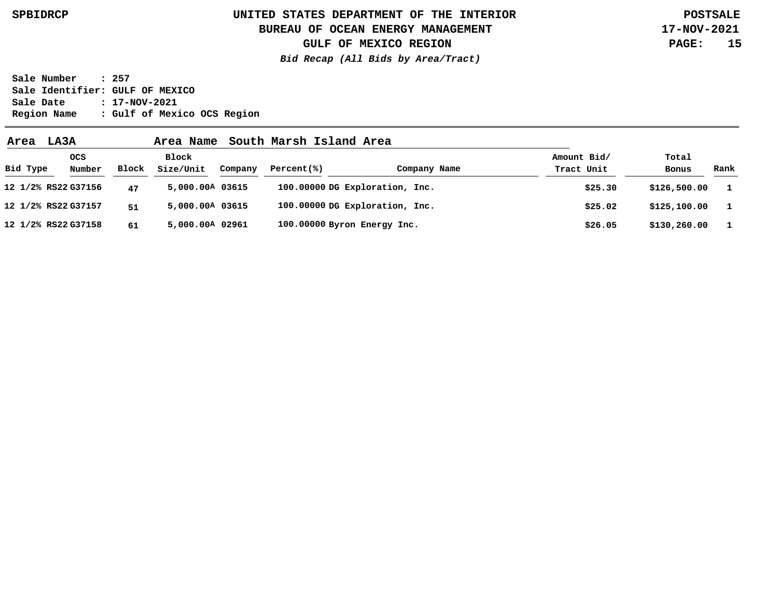### **BUREAU OF OCEAN ENERGY MANAGEMENT**

**GULF OF MEXICO REGION**

**Bid Recap (All Bids by Area/Tract)**

**17-NOV-2021 PAGE: 15**

| Area     | LA3A                 |       | Area Name          |         | South Marsh Island Area     |                                |                           |                |              |
|----------|----------------------|-------|--------------------|---------|-----------------------------|--------------------------------|---------------------------|----------------|--------------|
| Bid Type | <b>OCS</b><br>Number | Block | Block<br>Size/Unit | Company | Percent(% )                 | Company Name                   | Amount Bid/<br>Tract Unit | Total<br>Bonus | Rank         |
|          | 12 1/2% RS22 G37156  | 47    | 5,000.00A 03615    |         |                             | 100.00000 DG Exploration, Inc. | \$25.30                   | \$126,500.00   | $\mathbf{1}$ |
|          | 12 1/2% RS22 G37157  | 51    | 5,000.00A 03615    |         |                             | 100.00000 DG Exploration, Inc. | \$25.02                   | \$125,100.00   |              |
|          | 12 1/2% RS22 G37158  | 61    | 5,000.00A 02961    |         | 100.00000 Byron Energy Inc. |                                | \$26.05                   | \$130,260.00   | $\mathbf{1}$ |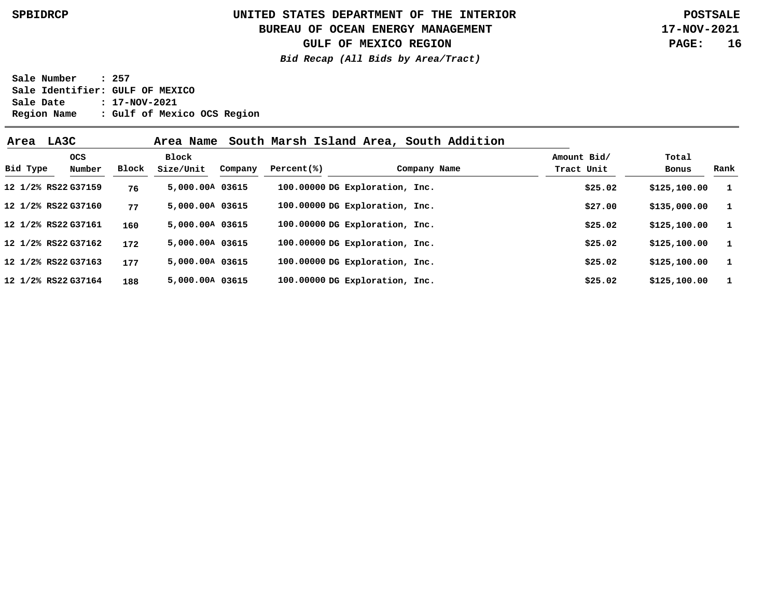### **BUREAU OF OCEAN ENERGY MANAGEMENT**

**GULF OF MEXICO REGION**

**Bid Recap (All Bids by Area/Tract)**

**17-NOV-2021 PAGE: 16**

| Area     | LA3C                |       | Area Name          |         |             | South Marsh Island Area, South Addition |                           |                |              |
|----------|---------------------|-------|--------------------|---------|-------------|-----------------------------------------|---------------------------|----------------|--------------|
| Bid Type | ocs<br>Number       | Block | Block<br>Size/Unit | Company | Percent(% ) | Company Name                            | Amount Bid/<br>Tract Unit | Total<br>Bonus | Rank         |
|          | 12 1/2% RS22 G37159 | 76    | 5,000.00A 03615    |         |             | 100.00000 DG Exploration, Inc.          | \$25.02                   | \$125,100.00   | $\mathbf{1}$ |
|          | 12 1/2% RS22 G37160 | 77    | 5,000.00A 03615    |         |             | 100.00000 DG Exploration, Inc.          | \$27.00                   | \$135,000.00   | - 1          |
|          | 12 1/2% RS22 G37161 | 160   | 5,000.00A 03615    |         |             | 100.00000 DG Exploration, Inc.          | \$25.02                   | \$125,100.00   | $\mathbf{1}$ |
|          | 12 1/2% RS22 G37162 | 172   | 5,000.00A 03615    |         |             | 100.00000 DG Exploration, Inc.          | \$25.02                   | \$125,100.00   | $\mathbf{1}$ |
|          | 12 1/2% RS22 G37163 | 177   | 5,000.00A 03615    |         |             | 100.00000 DG Exploration, Inc.          | \$25.02                   | \$125,100.00   | 1            |
|          | 12 1/2% RS22 G37164 | 188   | 5,000.00A 03615    |         |             | 100.00000 DG Exploration, Inc.          | \$25.02                   | \$125,100.00   | - 1          |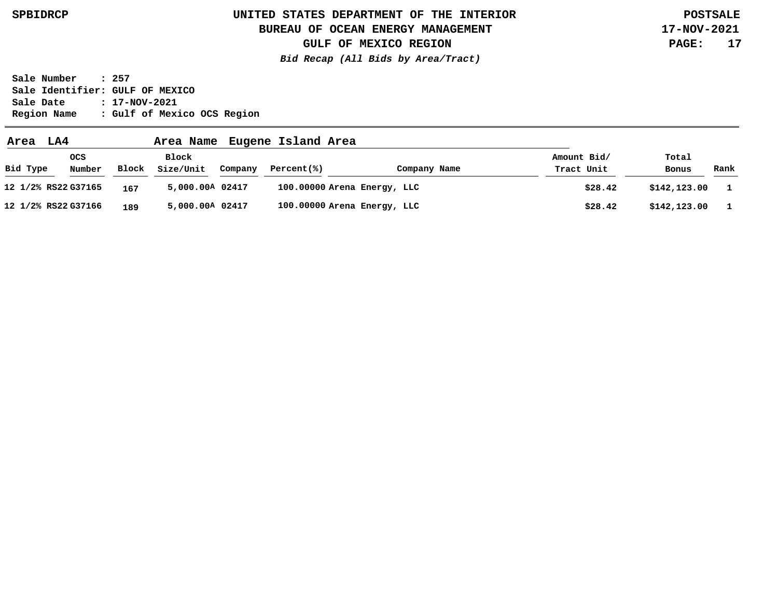### **BUREAU OF OCEAN ENERGY MANAGEMENT**

**GULF OF MEXICO REGION**

**Bid Recap (All Bids by Area/Tract)**

**17-NOV-2021 PAGE: 17**

| Area                | LA4                  |       | Area Name          |         | Eugene Island Area |                             |                           |                |      |
|---------------------|----------------------|-------|--------------------|---------|--------------------|-----------------------------|---------------------------|----------------|------|
| Bid Type            | <b>OCS</b><br>Number | Block | Block<br>Size/Unit | Company | Percent(% )        | Company Name                | Amount Bid/<br>Tract Unit | Total<br>Bonus | Rank |
| 12 1/2% RS22 G37165 |                      | 167   | 5,000.00A 02417    |         |                    | 100.00000 Arena Energy, LLC | \$28.42                   | \$142,123.00   |      |
| 12 1/2% RS22 G37166 |                      | 189   | 5,000.00A 02417    |         |                    | 100.00000 Arena Energy, LLC | \$28.42                   | \$142,123.00   |      |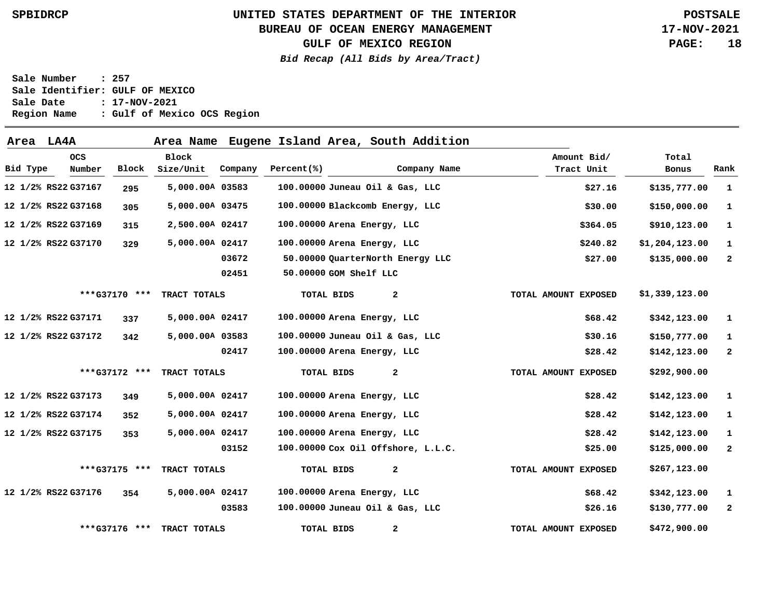### **BUREAU OF OCEAN ENERGY MANAGEMENT**

**17-NOV-2021 PAGE: 18**

**GULF OF MEXICO REGION**

**Bid Recap (All Bids by Area/Tract)**

| Area LA4A |                      |               | Area Name                 |         |            |                                    | Eugene Island Area, South Addition |                           |                |              |
|-----------|----------------------|---------------|---------------------------|---------|------------|------------------------------------|------------------------------------|---------------------------|----------------|--------------|
| Bid Type  | <b>OCS</b><br>Number | Block         | <b>Block</b><br>Size/Unit | Company | Percent(%) |                                    | Company Name                       | Amount Bid/<br>Tract Unit | Total<br>Bonus | Rank         |
|           | 12 1/2% RS22 G37167  | 295           | 5,000.00A 03583           |         |            | 100.00000 Juneau Oil & Gas, LLC    |                                    | \$27.16                   | \$135,777.00   | 1            |
|           | 12 1/2% RS22 G37168  | 305           | 5,000.00A 03475           |         |            | 100.00000 Blackcomb Energy, LLC    |                                    | \$30.00                   | \$150,000.00   | 1            |
|           | 12 1/2% RS22 G37169  | 315           | 2,500.00A 02417           |         |            | 100.00000 Arena Energy, LLC        |                                    | \$364.05                  | \$910,123.00   | $\mathbf 1$  |
|           | 12 1/2% RS22 G37170  | 329           | 5,000.00A 02417           |         |            | 100.00000 Arena Energy, LLC        |                                    | \$240.82                  | \$1,204,123.00 | 1            |
|           |                      |               |                           | 03672   |            | 50.00000 QuarterNorth Energy LLC   |                                    | \$27.00                   | \$135,000.00   | $\mathbf{2}$ |
|           |                      |               |                           | 02451   |            | 50.00000 GOM Shelf LLC             |                                    |                           |                |              |
|           |                      | ***G37170 *** | TRACT TOTALS              |         |            | TOTAL BIDS                         | 2                                  | TOTAL AMOUNT EXPOSED      | \$1,339,123.00 |              |
|           | 12 1/2% RS22 G37171  | 337           | 5,000.00A 02417           |         |            | 100.00000 Arena Energy, LLC        |                                    | \$68.42                   | \$342,123.00   | $\mathbf{1}$ |
|           | 12 1/2% RS22 G37172  | 342           | 5,000.00A 03583           |         |            | 100.00000 Juneau Oil & Gas, LLC    |                                    | \$30.16                   | \$150,777.00   | 1            |
|           |                      |               |                           | 02417   |            | 100.00000 Arena Energy, LLC        |                                    | \$28.42                   | \$142,123.00   | $\mathbf{2}$ |
|           |                      | ***G37172 *** | TRACT TOTALS              |         |            | <b>TOTAL BIDS</b>                  | 2                                  | TOTAL AMOUNT EXPOSED      | \$292,900.00   |              |
|           | 12 1/2% RS22 G37173  | 349           | 5,000.00A 02417           |         |            | 100.00000 Arena Energy, LLC        |                                    | \$28.42                   | \$142,123.00   | 1            |
|           | 12 1/2% RS22 G37174  | 352           | 5,000.00A 02417           |         |            | 100.00000 Arena Energy, LLC        |                                    | \$28.42                   | \$142,123.00   | 1            |
|           | 12 1/2% RS22 G37175  | 353           | 5,000.00A 02417           |         |            | 100.00000 Arena Energy, LLC        |                                    | \$28.42                   | \$142,123.00   | 1            |
|           |                      |               |                           | 03152   |            | 100.00000 Cox Oil Offshore, L.L.C. |                                    | \$25.00                   | \$125,000.00   | $\mathbf{2}$ |
|           |                      | ***G37175 *** | TRACT TOTALS              |         |            | TOTAL BIDS                         | $\mathbf{2}$                       | TOTAL AMOUNT EXPOSED      | \$267,123.00   |              |
|           | 12 1/2% RS22 G37176  | 354           | 5,000.00A 02417           |         |            | 100.00000 Arena Energy, LLC        |                                    | \$68.42                   | \$342,123.00   | 1            |
|           |                      |               |                           | 03583   |            | 100.00000 Juneau Oil & Gas, LLC    |                                    | \$26.16                   | \$130,777.00   | $\mathbf{2}$ |
|           |                      | ***G37176 *** | TRACT TOTALS              |         |            | TOTAL BIDS                         | 2                                  | TOTAL AMOUNT EXPOSED      | \$472,900.00   |              |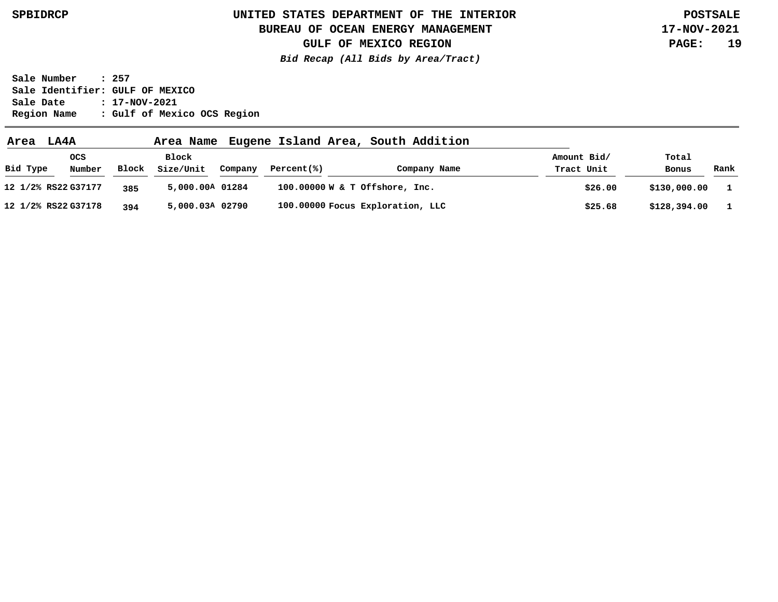### **BUREAU OF OCEAN ENERGY MANAGEMENT**

**GULF OF MEXICO REGION**

**Bid Recap (All Bids by Area/Tract)**

**17-NOV-2021 PAGE: 19**

| Area                | LA4A          |       | Area Name          |         |             | Eugene Island Area, South Addition |                           |                |      |
|---------------------|---------------|-------|--------------------|---------|-------------|------------------------------------|---------------------------|----------------|------|
| Bid Type            | ocs<br>Number | Block | Block<br>Size/Unit | Company | Percent(% ) | Company Name                       | Amount Bid/<br>Tract Unit | Total<br>Bonus | Rank |
| 12 1/2% RS22 G37177 |               | 385   | 5,000.00A 01284    |         |             | 100.00000 W & T Offshore, Inc.     | \$26.00                   | \$130,000.00   |      |
| 12 1/2% RS22 G37178 |               | 394   | 5,000.03A 02790    |         |             | 100.00000 Focus Exploration, LLC   | \$25.68                   | \$128,394.00   |      |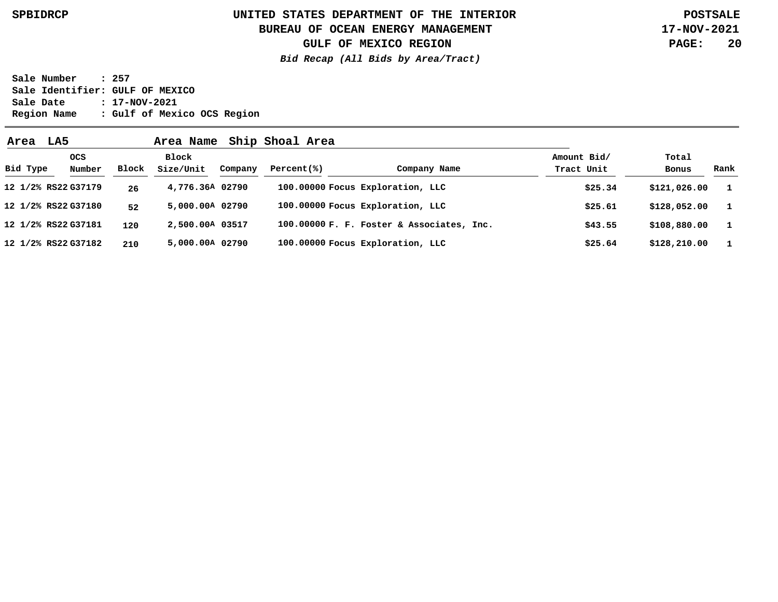### **UNITED STATES DEPARTMENT OF THE INTERIOR SPBIDRCP POSTSALE BUREAU OF OCEAN ENERGY MANAGEMENT**

**17-NOV-2021 PAGE: 20**

**GULF OF MEXICO REGION**

**Bid Recap (All Bids by Area/Tract)**

| Area     | LA5                 |       | Area Name          |         | Ship Shoal Area |                                           |                           |                |              |
|----------|---------------------|-------|--------------------|---------|-----------------|-------------------------------------------|---------------------------|----------------|--------------|
| Bid Type | OCS<br>Number       | Block | Block<br>Size/Unit | Company | Percent(% )     | Company Name                              | Amount Bid/<br>Tract Unit | Total<br>Bonus | Rank         |
|          | 12 1/2% RS22 G37179 | 26    | 4,776.36A 02790    |         |                 | 100.00000 Focus Exploration, LLC          | \$25.34                   | \$121,026.00   | $\mathbf{1}$ |
|          | 12 1/2% RS22 G37180 | 52    | 5,000.00A 02790    |         |                 | 100.00000 Focus Exploration, LLC          | \$25.61                   | \$128,052.00   | $\mathbf{1}$ |
|          | 12 1/2% RS22 G37181 | 120   | 2,500.00A 03517    |         |                 | 100.00000 F. F. Foster & Associates, Inc. | \$43.55                   | \$108,880.00   | $\mathbf{1}$ |
|          | 12 1/2% RS22 G37182 | 210   | 5,000.00A 02790    |         |                 | 100.00000 Focus Exploration, LLC          | \$25.64                   | \$128, 210.00  | $\mathbf{1}$ |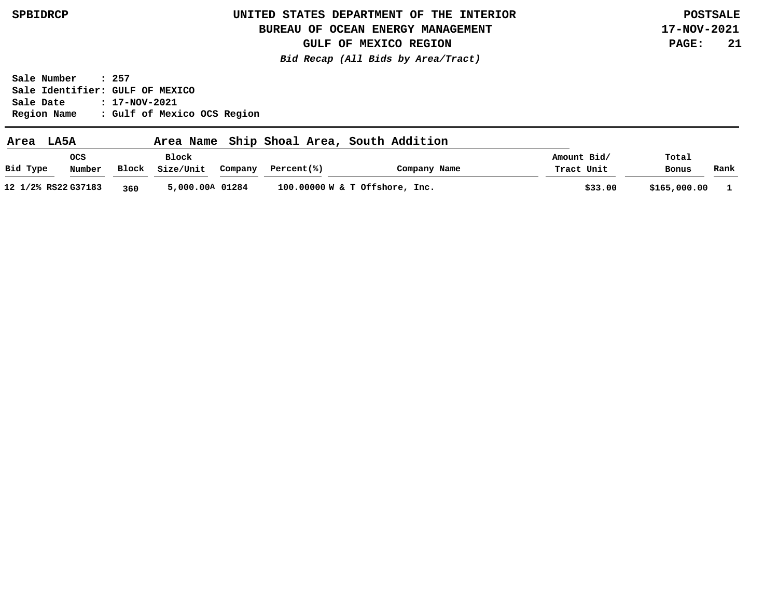### **BUREAU OF OCEAN ENERGY MANAGEMENT**

**17-NOV-2021 PAGE: 21**

**GULF OF MEXICO REGION Bid Recap (All Bids by Area/Tract)**

| Area     | LA5A                |              | Area Name                 |         | Ship Shoal Area, South Addition |              |                           |                |      |
|----------|---------------------|--------------|---------------------------|---------|---------------------------------|--------------|---------------------------|----------------|------|
| Bid Type | ocs<br>Number       | <b>Block</b> | <b>Block</b><br>Size/Unit | Company | Percent(%)                      | Company Name | Amount Bid/<br>Tract Unit | Total<br>Bonus | Rank |
|          | 12 1/2% RS22 G37183 | 360          | 5,000.00A 01284           |         | 100.00000 W & T Offshore, Inc.  |              | \$33.00                   | \$165,000.00   |      |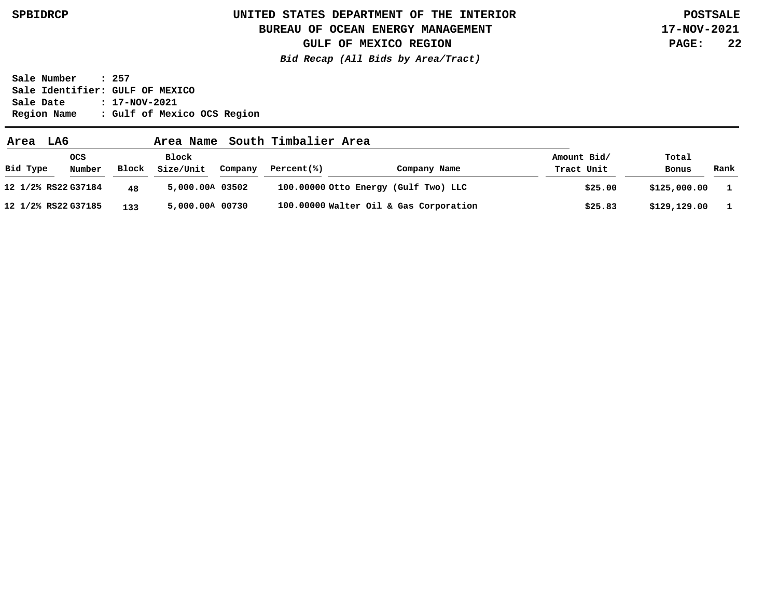### **BUREAU OF OCEAN ENERGY MANAGEMENT**

**GULF OF MEXICO REGION**

**Bid Recap (All Bids by Area/Tract)**

**17-NOV-2021 PAGE: 22**

| LA6<br>Area         |                      |              | Area Name          |         | South Timbalier Area |                                        |                           |                |      |
|---------------------|----------------------|--------------|--------------------|---------|----------------------|----------------------------------------|---------------------------|----------------|------|
| Bid Type            | <b>OCS</b><br>Number | <b>Block</b> | Block<br>Size/Unit | Company | Percent(%)           | Company Name                           | Amount Bid/<br>Tract Unit | Total<br>Bonus | Rank |
| 12 1/2% RS22 G37184 |                      | 48           | 5,000.00A 03502    |         |                      | 100.00000 Otto Energy (Gulf Two) LLC   | \$25.00                   | \$125,000.00   |      |
| 12 1/2% RS22 G37185 |                      | 133          | 5,000.00A 00730    |         |                      | 100.00000 Walter Oil & Gas Corporation | \$25.83                   | \$129,129.00   |      |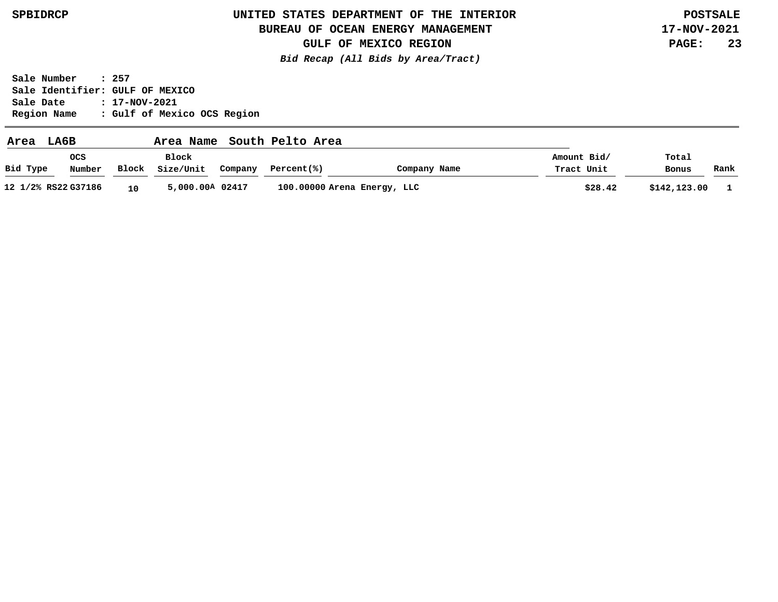### **BUREAU OF OCEAN ENERGY MANAGEMENT**

**GULF OF MEXICO REGION**

**Bid Recap (All Bids by Area/Tract)**

**17-NOV-2021 PAGE: 23**

| Area     | LA6B                |       | Area Name          |         | South Pelto Area |                             |                           |                |      |
|----------|---------------------|-------|--------------------|---------|------------------|-----------------------------|---------------------------|----------------|------|
| Bid Type | ocs<br>Number       | Block | Block<br>Size/Unit | Company | Percent(%)       | Company Name                | Amount Bid/<br>Tract Unit | Total<br>Bonus | Rank |
|          | 12 1/2% RS22 G37186 | 10    | 5,000.00A 02417    |         |                  | 100.00000 Arena Energy, LLC | \$28.42                   | \$142,123.00   |      |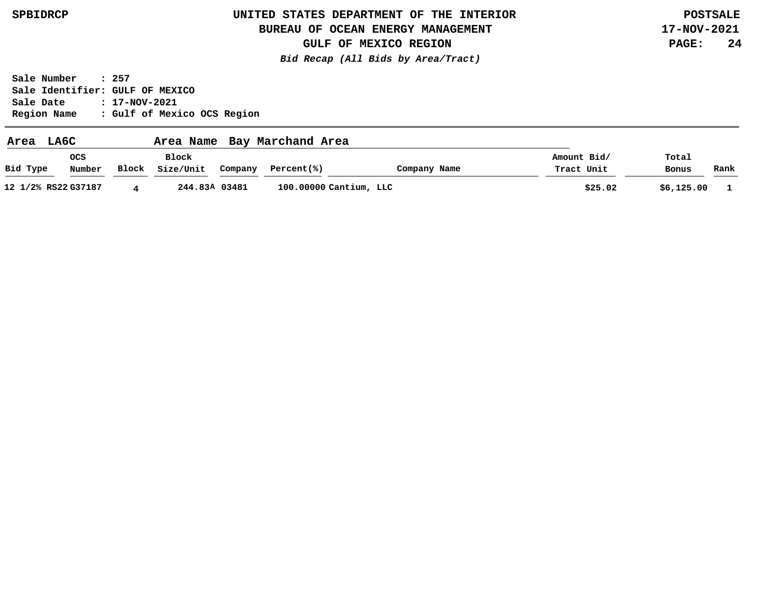### **BUREAU OF OCEAN ENERGY MANAGEMENT**

**GULF OF MEXICO REGION**

**Bid Recap (All Bids by Area/Tract)**

**17-NOV-2021 PAGE: 24**

| Area                | LA6C          |       | Area Name          |               | Bay Marchand Area      |              |                           |                |      |
|---------------------|---------------|-------|--------------------|---------------|------------------------|--------------|---------------------------|----------------|------|
| Bid Type            | ocs<br>Number | Block | Block<br>Size/Unit | Company       | Percent(% )            | Company Name | Amount Bid/<br>Tract Unit | Total<br>Bonus | Rank |
| 12 1/2% RS22 G37187 |               |       |                    | 244.83A 03481 | 100.00000 Cantium, LLC |              | \$25.02                   | \$6,125.00     |      |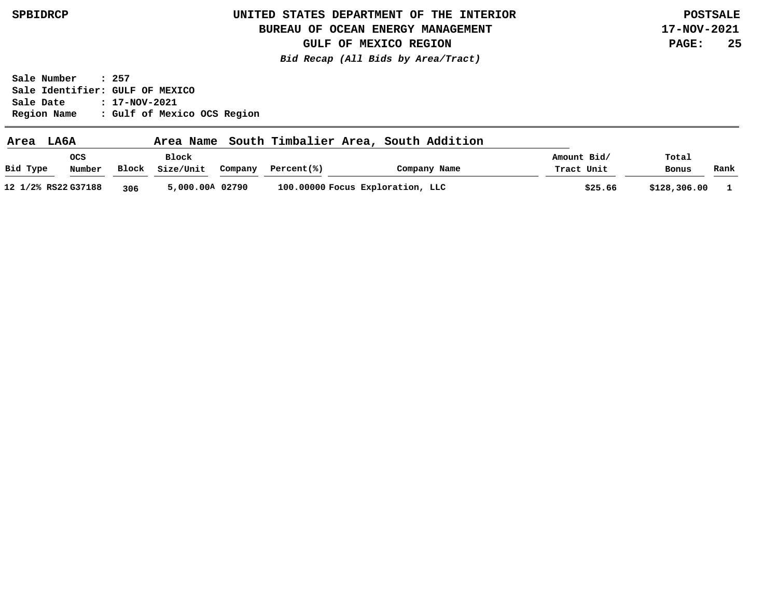### **BUREAU OF OCEAN ENERGY MANAGEMENT**

**17-NOV-2021 PAGE: 25**

**GULF OF MEXICO REGION Bid Recap (All Bids by Area/Tract)**

| Area     | LA6A                 |       | Area Name          |         | South Timbalier Area, | South Addition                   |                           |                |      |
|----------|----------------------|-------|--------------------|---------|-----------------------|----------------------------------|---------------------------|----------------|------|
| Bid Type | <b>OCS</b><br>Number | Block | Block<br>Size/Unit | Company | Percent(%)            | Company Name                     | Amount Bid/<br>Tract Unit | Total<br>Bonus | Rank |
|          | 12 1/2% RS22 G37188  | 306   | 5,000.00A 02790    |         |                       | 100.00000 Focus Exploration, LLC | \$25.66                   | \$128,306.00   |      |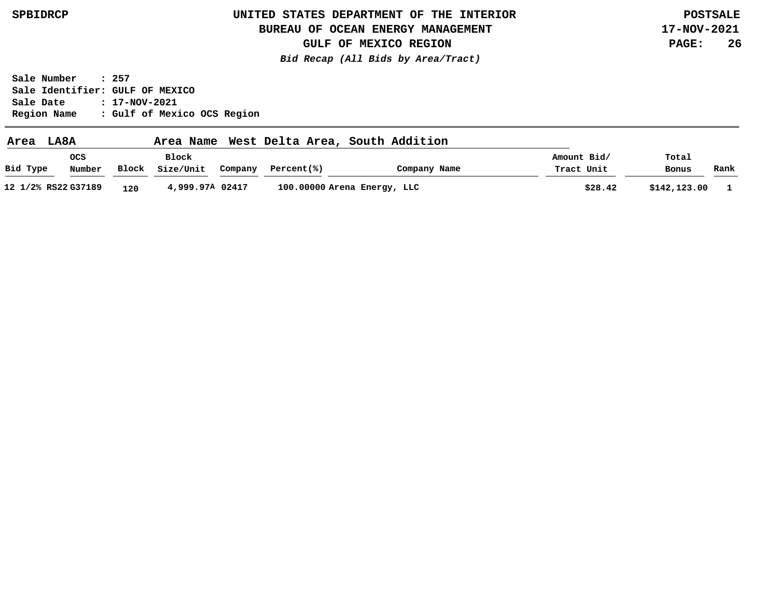### **BUREAU OF OCEAN ENERGY MANAGEMENT**

**17-NOV-2021 PAGE: 26**

**GULF OF MEXICO REGION Bid Recap (All Bids by Area/Tract)**

| Area     | LA8A                 |       | Area Name          |         |            | West Delta Area, South Addition |                           |                |      |
|----------|----------------------|-------|--------------------|---------|------------|---------------------------------|---------------------------|----------------|------|
| Bid Type | <b>OCS</b><br>Number | Block | Block<br>Size/Unit | Company | Percent(%) | Company Name                    | Amount Bid/<br>Tract Unit | Total<br>Bonus | Rank |
|          | 12 1/2% RS22 G37189  | 120   | 4,999.97A 02417    |         |            | 100.00000 Arena Energy, LLC     | \$28.42                   | \$142,123.00   |      |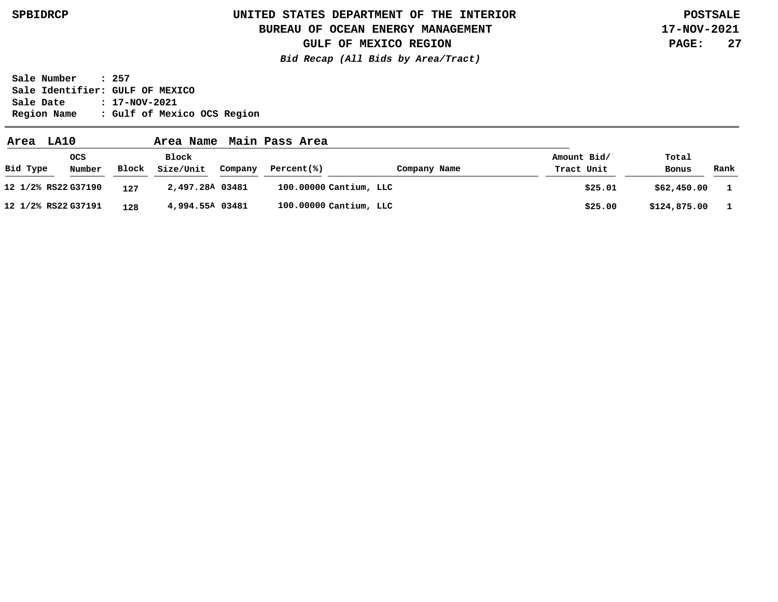### **BUREAU OF OCEAN ENERGY MANAGEMENT**

**17-NOV-2021 PAGE: 27**

**GULF OF MEXICO REGION Bid Recap (All Bids by Area/Tract)**

| Area                | LA10                 |       | Area Name          |         | Main Pass Area |                        |                           |                |      |
|---------------------|----------------------|-------|--------------------|---------|----------------|------------------------|---------------------------|----------------|------|
| Bid Type            | <b>OCS</b><br>Number | Block | Block<br>Size/Unit | Company | Percent(% )    | Company Name           | Amount Bid/<br>Tract Unit | Total<br>Bonus | Rank |
| 12 1/2% RS22 G37190 |                      | 127   | 2,497.28A 03481    |         |                | 100.00000 Cantium, LLC | \$25.01                   | \$62,450.00    |      |
| 12 1/2% RS22 G37191 |                      | 128   | 4,994.55A 03481    |         |                | 100.00000 Cantium, LLC | \$25.00                   | \$124,875.00   |      |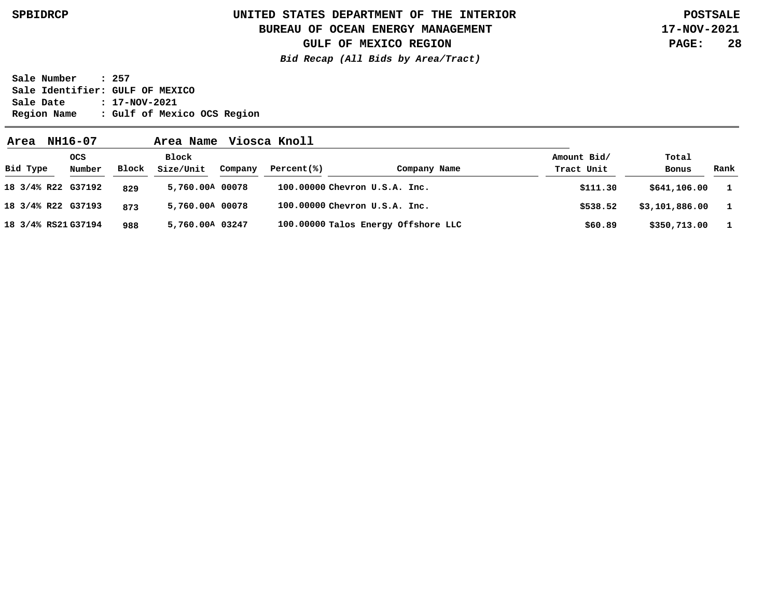# **UNITED STATES DEPARTMENT OF THE INTERIOR SPBIDRCP POSTSALE BUREAU OF OCEAN ENERGY MANAGEMENT**

**GULF OF MEXICO REGION**

**Bid Recap (All Bids by Area/Tract)**

**17-NOV-2021 PAGE: 28**

**Sale Number : 257 Sale Identifier: GULF OF MEXICO**

**Sale Date : 17-NOV-2021 Region Name : Gulf of Mexico OCS Region**

| Area                | NH16-07              |       | Area Name          |         | Viosca Knoll |                                     |                           |                |              |
|---------------------|----------------------|-------|--------------------|---------|--------------|-------------------------------------|---------------------------|----------------|--------------|
| Bid Type            | <b>OCS</b><br>Number | Block | Block<br>Size/Unit | Company | Percent(% )  | Company Name                        | Amount Bid/<br>Tract Unit | Total<br>Bonus | Rank         |
| 18 3/4% R22 G37192  |                      | 829   | 5,760.00A 00078    |         |              | 100.00000 Chevron U.S.A. Inc.       | \$111.30                  | \$641,106.00   | $\mathbf{1}$ |
| 18 3/4% R22 G37193  |                      | 873   | 5,760.00A 00078    |         |              | 100.00000 Chevron U.S.A. Inc.       | \$538.52                  | \$3,101,886.00 | $\mathbf{1}$ |
| 18 3/4% RS21 G37194 |                      | 988   | 5,760.00A 03247    |         |              | 100.00000 Talos Energy Offshore LLC | \$60.89                   | \$350,713.00   | $\mathbf{1}$ |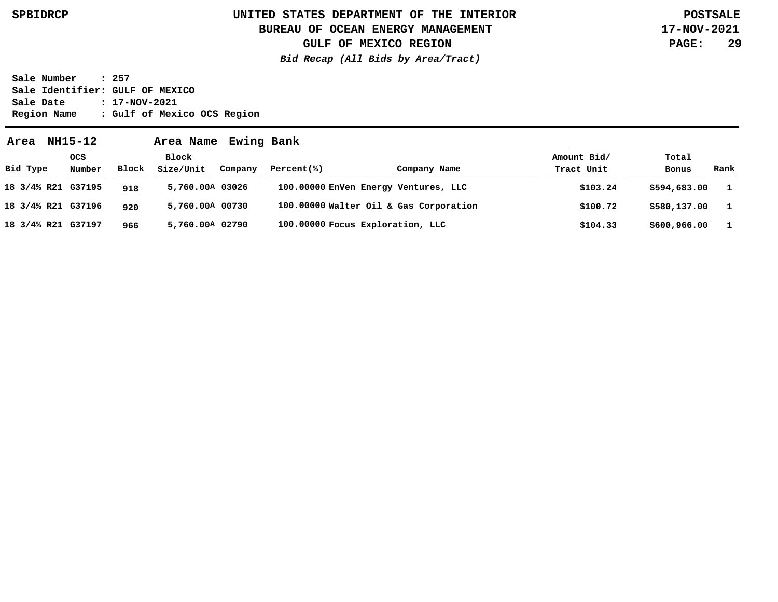# **UNITED STATES DEPARTMENT OF THE INTERIOR SPBIDRCP POSTSALE BUREAU OF OCEAN ENERGY MANAGEMENT**

**GULF OF MEXICO REGION**

**Bid Recap (All Bids by Area/Tract)**

**17-NOV-2021 PAGE: 29**

**Sale Number : 257 Sale Identifier: GULF OF MEXICO Sale Date : 17-NOV-2021 Region Name : Gulf of Mexico OCS Region**

**Area NH15-12 Area Name Ewing Bank G37195 18 3/4% R21 G37196 18 3/4% R21 G37197 18 3/4% R21 5,760.00 A 03026 5,760.00 A 00730 5,760.00 A 02790 918 920 966 1 1 1 \$594,683.00 \$580,137.00 \$600,966.00 \$103.24 \$100.72 \$104.33 100.00000 EnVen Energy Ventures, LLC 100.00000 Walter Oil & Gas Corporation 100.00000 Focus Exploration, LLC Bid Type OCS Number Block Block Size/Unit Company Percent(%) Company Name Amount Bid/ Tract Unit Total Bonus Rank**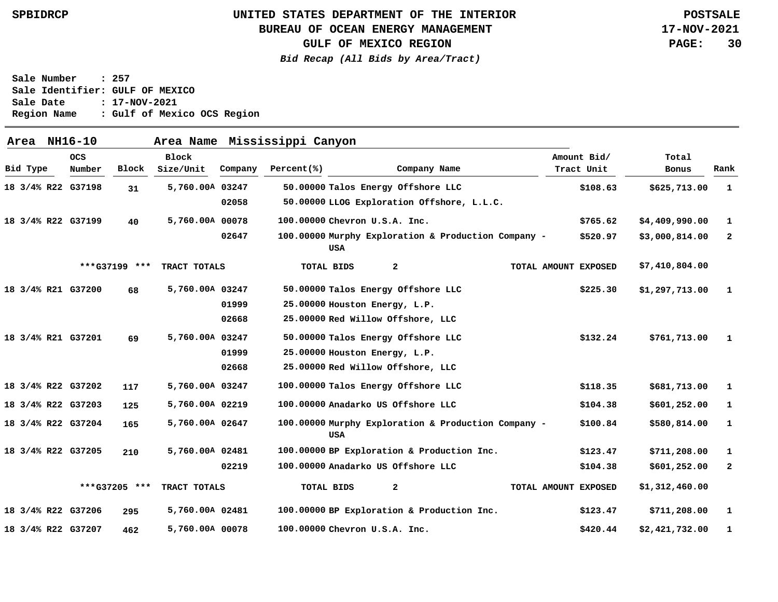### **BUREAU OF OCEAN ENERGY MANAGEMENT**

**GULF OF MEXICO REGION**

**Bid Recap (All Bids by Area/Tract)**

**17-NOV-2021 PAGE: 30**

| Area     | NH16-10            |               | Area Name       |         | Mississippi Canyon |                               |                                                     |                      |                |                |
|----------|--------------------|---------------|-----------------|---------|--------------------|-------------------------------|-----------------------------------------------------|----------------------|----------------|----------------|
|          | <b>OCS</b>         |               | <b>Block</b>    |         |                    |                               |                                                     | Amount Bid/          | Total          |                |
| Bid Type | Number             | Block         | Size/Unit       | Company | Percent(%)         |                               | Company Name                                        | Tract Unit           | Bonus          | Rank           |
|          | 18 3/4% R22 G37198 | 31            | 5,760.00A 03247 |         |                    |                               | 50.00000 Talos Energy Offshore LLC                  | \$108.63             | \$625,713.00   | $\mathbf{1}$   |
|          |                    |               |                 | 02058   |                    |                               | 50.00000 LLOG Exploration Offshore, L.L.C.          |                      |                |                |
|          | 18 3/4% R22 G37199 | 40            | 5,760.00A 00078 |         |                    | 100.00000 Chevron U.S.A. Inc. |                                                     | \$765.62             | \$4,409,990.00 | 1              |
|          |                    |               |                 | 02647   |                    | USA                           | 100.00000 Murphy Exploration & Production Company - | \$520.97             | \$3,000,814.00 | $\overline{a}$ |
|          |                    | ***G37199 *** | TRACT TOTALS    |         |                    | TOTAL BIDS                    | 2                                                   | TOTAL AMOUNT EXPOSED | \$7,410,804.00 |                |
|          | 18 3/4% R21 G37200 | 68            | 5,760.00A 03247 |         |                    |                               | 50.00000 Talos Energy Offshore LLC                  | \$225.30             | \$1,297,713.00 | $\mathbf{1}$   |
|          |                    |               |                 | 01999   |                    | 25.00000 Houston Energy, L.P. |                                                     |                      |                |                |
|          |                    |               |                 | 02668   |                    |                               | 25.00000 Red Willow Offshore, LLC                   |                      |                |                |
|          | 18 3/4% R21 G37201 | 69            | 5,760.00A 03247 |         |                    |                               | 50.00000 Talos Energy Offshore LLC                  | \$132.24             | \$761,713.00   | - 1            |
|          |                    |               |                 | 01999   |                    | 25.00000 Houston Energy, L.P. |                                                     |                      |                |                |
|          |                    |               |                 | 02668   |                    |                               | 25.00000 Red Willow Offshore, LLC                   |                      |                |                |
|          | 18 3/4% R22 G37202 | 117           | 5,760.00A 03247 |         |                    |                               | 100.00000 Talos Energy Offshore LLC                 | \$118.35             | \$681,713.00   | 1              |
|          | 18 3/4% R22 G37203 | 125           | 5,760.00A 02219 |         |                    |                               | 100.00000 Anadarko US Offshore LLC                  | \$104.38             | \$601,252.00   | 1              |
|          | 18 3/4% R22 G37204 | 165           | 5,760.00A 02647 |         |                    | USA                           | 100.00000 Murphy Exploration & Production Company - | \$100.84             | \$580,814.00   | -1             |
|          | 18 3/4% R22 G37205 | 210           | 5,760.00A 02481 |         |                    |                               | 100.00000 BP Exploration & Production Inc.          | \$123.47             | \$711,208.00   | 1              |
|          |                    |               |                 | 02219   |                    |                               | 100.00000 Anadarko US Offshore LLC                  | \$104.38             | \$601,252.00   | $\mathbf{2}$   |
|          |                    | ***G37205 *** | TRACT TOTALS    |         |                    | TOTAL BIDS                    | $\mathbf{2}$                                        | TOTAL AMOUNT EXPOSED | \$1,312,460.00 |                |
|          | 18 3/4% R22 G37206 | 295           | 5,760.00A 02481 |         |                    |                               | 100.00000 BP Exploration & Production Inc.          | \$123.47             | \$711,208.00   | 1              |
|          | 18 3/4% R22 G37207 | 462           | 5,760.00A 00078 |         |                    | 100.00000 Chevron U.S.A. Inc. |                                                     | \$420.44             | \$2,421,732.00 | 1              |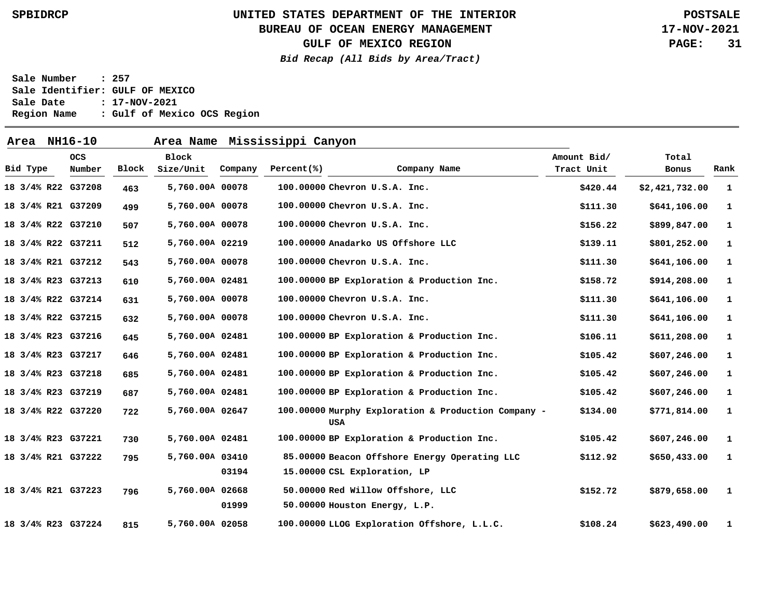### **BUREAU OF OCEAN ENERGY MANAGEMENT**

**17-NOV-2021 PAGE: 31**

**GULF OF MEXICO REGION**

**Bid Recap (All Bids by Area/Tract)**

| Area NH16-10       |                      |       | Area Name Mississippi Canyon |         |            |                                                                               |                                                     |                           |                |              |
|--------------------|----------------------|-------|------------------------------|---------|------------|-------------------------------------------------------------------------------|-----------------------------------------------------|---------------------------|----------------|--------------|
| Bid Type           | <b>OCS</b><br>Number | Block | Block<br>Size/Unit           | Company | Percent(%) | Company Name                                                                  |                                                     | Amount Bid/<br>Tract Unit | Total<br>Bonus | Rank         |
| 18 3/4% R22 G37208 |                      | 463   | 5,760.00A 00078              |         |            | 100.00000 Chevron U.S.A. Inc.                                                 |                                                     | \$420.44                  | \$2,421,732.00 | $\mathbf{1}$ |
| 18 3/4% R21 G37209 |                      | 499   | 5,760.00A 00078              |         |            | 100.00000 Chevron U.S.A. Inc.                                                 |                                                     | \$111.30                  | \$641,106.00   | 1            |
| 18 3/4% R22 G37210 |                      | 507   | 5,760.00A 00078              |         |            | 100.00000 Chevron U.S.A. Inc.                                                 |                                                     | \$156.22                  | \$899,847.00   | 1            |
| 18 3/4% R22 G37211 |                      | 512   | 5,760.00A 02219              |         |            | 100.00000 Anadarko US Offshore LLC                                            |                                                     | \$139.11                  | \$801,252.00   | 1            |
| 18 3/4% R21 G37212 |                      | 543   | 5,760.00A 00078              |         |            | 100.00000 Chevron U.S.A. Inc.                                                 |                                                     | \$111.30                  | \$641,106.00   | 1            |
| 18 3/4% R23 G37213 |                      | 610   | 5,760.00A 02481              |         |            | 100.00000 BP Exploration & Production Inc.                                    |                                                     | \$158.72                  | \$914,208.00   | 1            |
| 18 3/4% R22 G37214 |                      | 631   | 5,760.00A 00078              |         |            | 100.00000 Chevron U.S.A. Inc.                                                 |                                                     | \$111.30                  | \$641,106.00   | 1            |
| 18 3/4% R22 G37215 |                      | 632   | 5,760.00A 00078              |         |            | 100.00000 Chevron U.S.A. Inc.                                                 |                                                     | \$111.30                  | \$641,106.00   | $\mathbf{1}$ |
| 18 3/4% R23 G37216 |                      | 645   | 5,760.00A 02481              |         |            | 100.00000 BP Exploration & Production Inc.                                    |                                                     | \$106.11                  | \$611, 208.00  | $\mathbf{1}$ |
| 18 3/4% R23 G37217 |                      | 646   | 5,760.00A 02481              |         |            | 100.00000 BP Exploration & Production Inc.                                    |                                                     | \$105.42                  | \$607,246.00   | 1            |
| 18 3/4% R23 G37218 |                      | 685   | 5,760.00A 02481              |         |            | 100.00000 BP Exploration & Production Inc.                                    |                                                     | \$105.42                  | \$607,246.00   | 1            |
| 18 3/4% R23 G37219 |                      | 687   | 5,760.00A 02481              |         |            | 100.00000 BP Exploration & Production Inc.                                    |                                                     | \$105.42                  | \$607, 246.00  | 1            |
| 18 3/4% R22 G37220 |                      | 722   | 5,760.00A 02647              |         |            | USA                                                                           | 100.00000 Murphy Exploration & Production Company - | \$134.00                  | \$771,814.00   | 1            |
| 18 3/4% R23 G37221 |                      | 730   | 5,760.00A 02481              |         |            | 100.00000 BP Exploration & Production Inc.                                    |                                                     | \$105.42                  | \$607,246.00   | $\mathbf{1}$ |
| 18 3/4% R21 G37222 |                      | 795   | 5,760.00A 03410              | 03194   |            | 85.00000 Beacon Offshore Energy Operating LLC<br>15.00000 CSL Exploration, LP |                                                     | \$112.92                  | \$650,433.00   | 1            |
| 18 3/4% R21 G37223 |                      | 796   | 5,760.00A 02668              | 01999   |            | 50.00000 Red Willow Offshore, LLC<br>50.00000 Houston Energy, L.P.            |                                                     | \$152.72                  | \$879,658.00   | $\mathbf{1}$ |
| 18 3/4% R23 G37224 |                      | 815   | 5,760.00A 02058              |         |            | 100.00000 LLOG Exploration Offshore, L.L.C.                                   |                                                     | \$108.24                  | \$623,490.00   | $\mathbf{1}$ |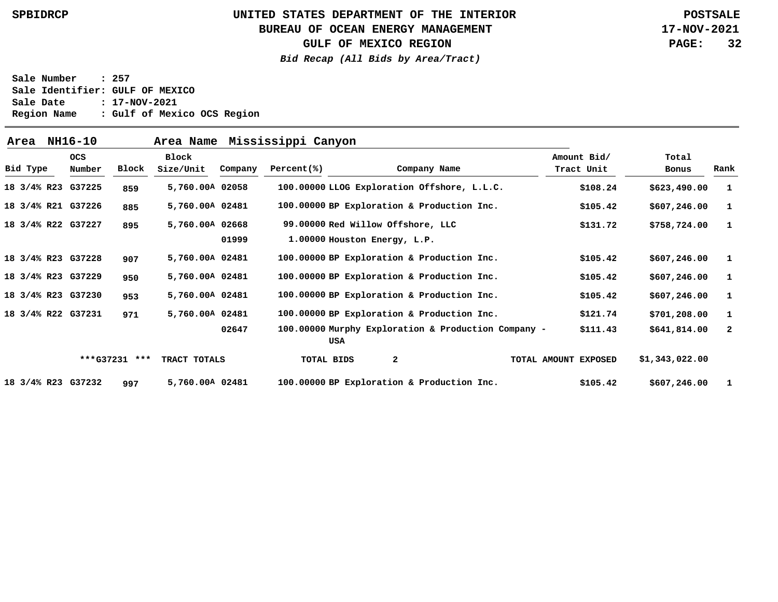### **BUREAU OF OCEAN ENERGY MANAGEMENT**

**GULF OF MEXICO REGION**

**Bid Recap (All Bids by Area/Tract)**

**17-NOV-2021 PAGE: 32**

| Area     | NH16-10              |               | Area Name          |         | Mississippi Canyon |                              |                                                     |                      |                           |                |              |
|----------|----------------------|---------------|--------------------|---------|--------------------|------------------------------|-----------------------------------------------------|----------------------|---------------------------|----------------|--------------|
| Bid Type | <b>OCS</b><br>Number | Block         | Block<br>Size/Unit | Company | Percent(% )        |                              | Company Name                                        |                      | Amount Bid/<br>Tract Unit | Total<br>Bonus | Rank         |
|          |                      |               |                    |         |                    |                              |                                                     |                      |                           |                |              |
|          | 18 3/4% R23 G37225   | 859           | 5,760.00A 02058    |         |                    |                              | 100.00000 LLOG Exploration Offshore, L.L.C.         |                      | \$108.24                  | \$623,490.00   | - 1          |
|          | 18 3/4% R21 G37226   | 885           | 5,760.00A 02481    |         |                    |                              | 100.00000 BP Exploration & Production Inc.          |                      | \$105.42                  | \$607, 246.00  | - 1          |
|          | 18 3/4% R22 G37227   | 895           | 5,760.00A 02668    |         |                    |                              | 99.00000 Red Willow Offshore, LLC                   |                      | \$131.72                  | \$758,724.00   | - 1          |
|          |                      |               |                    | 01999   |                    | 1.00000 Houston Energy, L.P. |                                                     |                      |                           |                |              |
|          | 18 3/4% R23 G37228   | 907           | 5,760.00A 02481    |         |                    |                              | 100.00000 BP Exploration & Production Inc.          |                      | \$105.42                  | \$607, 246.00  | - 1          |
|          | 18 3/4% R23 G37229   | 950           | 5,760.00A 02481    |         |                    |                              | 100.00000 BP Exploration & Production Inc.          |                      | \$105.42                  | \$607, 246.00  | $\mathbf{1}$ |
|          | 18 3/4% R23 G37230   | 953           | 5,760.00A 02481    |         |                    |                              | 100.00000 BP Exploration & Production Inc.          |                      | \$105.42                  | \$607, 246.00  | - 1          |
|          | 18 3/4% R22 G37231   | 971           | 5,760.00A 02481    |         |                    |                              | 100.00000 BP Exploration & Production Inc.          |                      | \$121.74                  | \$701, 208.00  | $\mathbf{1}$ |
|          |                      |               |                    | 02647   |                    | USA                          | 100.00000 Murphy Exploration & Production Company - |                      | \$111.43                  | \$641,814.00   | -2           |
|          |                      | ***G37231 *** | TRACT TOTALS       |         | TOTAL BIDS         |                              | $\mathbf{2}$                                        | TOTAL AMOUNT EXPOSED |                           | \$1,343,022.00 |              |
|          | 18 3/4% R23 G37232   | 997           | 5,760.00A 02481    |         |                    |                              | 100.00000 BP Exploration & Production Inc.          |                      | \$105.42                  | \$607, 246.00  | -1           |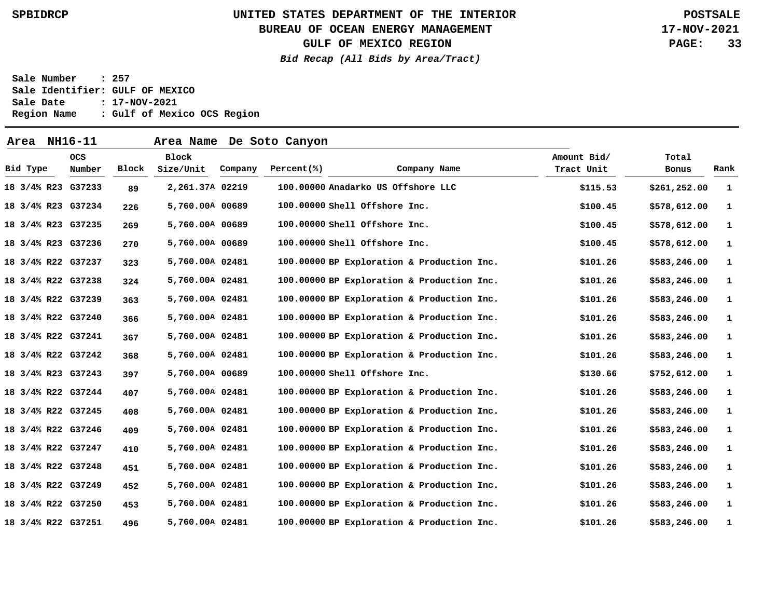### **BUREAU OF OCEAN ENERGY MANAGEMENT**

**GULF OF MEXICO REGION**

**Bid Recap (All Bids by Area/Tract)**

**17-NOV-2021 PAGE: 33**

| Area NH16-11       |                      |       |                    |         | Area Name De Soto Canyon |                                            |                           |                |      |
|--------------------|----------------------|-------|--------------------|---------|--------------------------|--------------------------------------------|---------------------------|----------------|------|
| Bid Type           | <b>OCS</b><br>Number | Block | Block<br>Size/Unit | Company | Percent(%)               | Company Name                               | Amount Bid/<br>Tract Unit | Total<br>Bonus | Rank |
| 18 3/4% R23 G37233 |                      | 89    | 2,261.37A 02219    |         |                          | 100.00000 Anadarko US Offshore LLC         | \$115.53                  | \$261, 252.00  | -1   |
| 18 3/4% R23 G37234 |                      | 226   | 5,760.00A 00689    |         |                          | 100.00000 Shell Offshore Inc.              | \$100.45                  | \$578,612.00   | 1    |
| 18 3/4% R23 G37235 |                      | 269   | 5,760.00A 00689    |         |                          | 100.00000 Shell Offshore Inc.              | \$100.45                  | \$578,612.00   | 1    |
| 18 3/4% R23 G37236 |                      | 270   | 5,760.00A 00689    |         |                          | 100.00000 Shell Offshore Inc.              | \$100.45                  | \$578,612.00   | 1    |
| 18 3/4% R22 G37237 |                      | 323   | 5,760.00A 02481    |         |                          | 100.00000 BP Exploration & Production Inc. | \$101.26                  | \$583,246.00   | 1    |
| 18 3/4% R22 G37238 |                      | 324   | 5,760.00A 02481    |         |                          | 100.00000 BP Exploration & Production Inc. | \$101.26                  | \$583,246.00   | 1    |
| 18 3/4% R22 G37239 |                      | 363   | 5,760.00A 02481    |         |                          | 100.00000 BP Exploration & Production Inc. | \$101.26                  | \$583,246.00   | 1    |
| 18 3/4% R22 G37240 |                      | 366   | 5,760.00A 02481    |         |                          | 100.00000 BP Exploration & Production Inc. | \$101.26                  | \$583,246.00   | 1    |
| 18 3/4% R22 G37241 |                      | 367   | 5,760.00A 02481    |         |                          | 100.00000 BP Exploration & Production Inc. | \$101.26                  | \$583,246.00   | 1    |
| 18 3/4% R22 G37242 |                      | 368   | 5,760.00A 02481    |         |                          | 100.00000 BP Exploration & Production Inc. | \$101.26                  | \$583,246.00   | 1    |
| 18 3/4% R23 G37243 |                      | 397   | 5,760.00A 00689    |         |                          | 100.00000 Shell Offshore Inc.              | \$130.66                  | \$752,612.00   | 1    |
| 18 3/4% R22 G37244 |                      | 407   | 5,760.00A 02481    |         |                          | 100.00000 BP Exploration & Production Inc. | \$101.26                  | \$583,246.00   | 1    |
| 18 3/4% R22 G37245 |                      | 408   | 5,760.00A 02481    |         |                          | 100.00000 BP Exploration & Production Inc. | \$101.26                  | \$583,246.00   | 1    |
| 18 3/4% R22 G37246 |                      | 409   | 5,760.00A 02481    |         |                          | 100.00000 BP Exploration & Production Inc. | \$101.26                  | \$583,246.00   | 1    |
| 18 3/4% R22 G37247 |                      | 410   | 5,760.00A 02481    |         |                          | 100.00000 BP Exploration & Production Inc. | \$101.26                  | \$583,246.00   | 1    |
| 18 3/4% R22 G37248 |                      | 451   | 5,760.00A 02481    |         |                          | 100.00000 BP Exploration & Production Inc. | \$101.26                  | \$583,246.00   | 1    |
| 18 3/4% R22 G37249 |                      | 452   | 5,760.00A 02481    |         |                          | 100.00000 BP Exploration & Production Inc. | \$101.26                  | \$583,246.00   | 1    |
| 18 3/4% R22 G37250 |                      | 453   | 5,760.00A 02481    |         |                          | 100.00000 BP Exploration & Production Inc. | \$101.26                  | \$583,246.00   | 1    |
| 18 3/4% R22 G37251 |                      | 496   | 5,760.00A 02481    |         |                          | 100.00000 BP Exploration & Production Inc. | \$101.26                  | \$583,246.00   | 1    |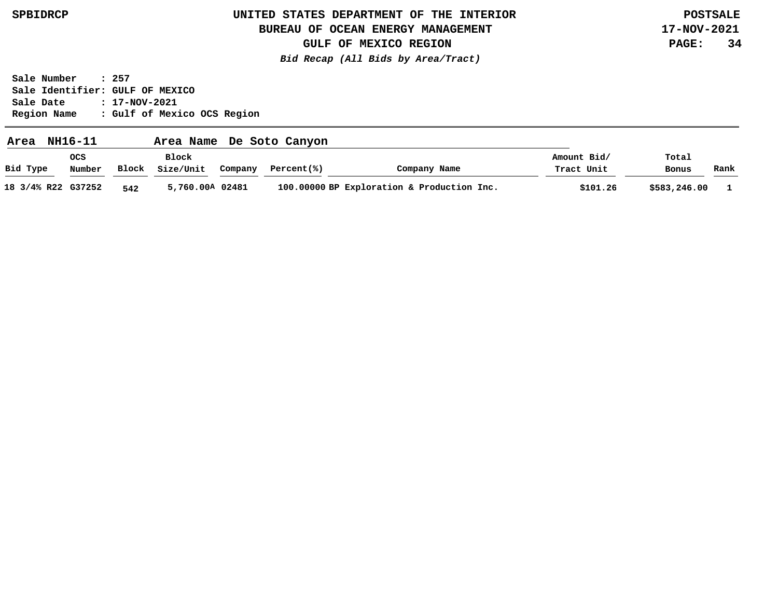### **BUREAU OF OCEAN ENERGY MANAGEMENT**

**17-NOV-2021 PAGE: 34**

**GULF OF MEXICO REGION Bid Recap (All Bids by Area/Tract)**

| Area               | NH16-11       |       | Area Name          |         | De Soto Canyon |                                            |                           |                |      |
|--------------------|---------------|-------|--------------------|---------|----------------|--------------------------------------------|---------------------------|----------------|------|
| Bid Type           | ocs<br>Number | Block | Block<br>Size/Unit | Company | Percent(%)     | Company Name                               | Amount Bid/<br>Tract Unit | Total<br>Bonus | Rank |
| 18 3/4% R22 G37252 |               | 542   | 5,760.00A 02481    |         |                | 100.00000 BP Exploration & Production Inc. | \$101.26                  | \$583,246.00   |      |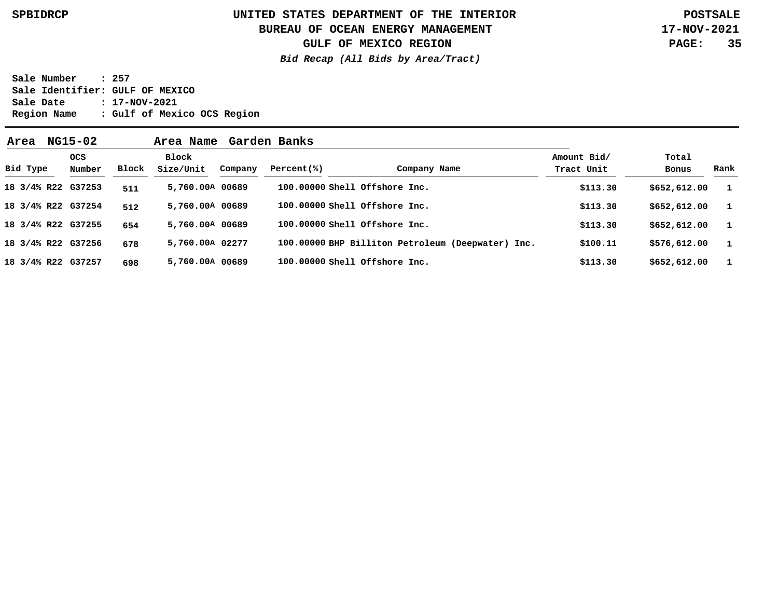**BUREAU OF OCEAN ENERGY MANAGEMENT**

**GULF OF MEXICO REGION**

**Bid Recap (All Bids by Area/Tract)**

**17-NOV-2021 PAGE: 35**

| Area               | NG15-02              |       |                    |         |             |                                                   |                           |                |              |
|--------------------|----------------------|-------|--------------------|---------|-------------|---------------------------------------------------|---------------------------|----------------|--------------|
| Bid Type           | <b>OCS</b><br>Number | Block | Block<br>Size/Unit | Company | Percent(% ) | Company Name                                      | Amount Bid/<br>Tract Unit | Total<br>Bonus | Rank         |
| 18 3/4% R22 G37253 |                      | 511   | 5,760.00A 00689    |         |             | 100.00000 Shell Offshore Inc.                     | \$113.30                  | \$652,612.00   |              |
| 18 3/4% R22 G37254 |                      | 512   | 5,760.00A 00689    |         |             | 100.00000 Shell Offshore Inc.                     | \$113.30                  | \$652,612.00   |              |
| 18 3/4% R22 G37255 |                      | 654   | 5,760,00A 00689    |         |             | 100.00000 Shell Offshore Inc.                     | \$113.30                  | \$652,612.00   | $\mathbf{1}$ |
| 18 3/4% R22 G37256 |                      | 678   | 5,760.00A 02277    |         |             | 100.00000 BHP Billiton Petroleum (Deepwater) Inc. | \$100.11                  | \$576,612.00   | $\mathbf{1}$ |
| 18 3/4% R22 G37257 |                      | 698   | 5,760.00A 00689    |         |             | 100.00000 Shell Offshore Inc.                     | \$113.30                  | \$652,612.00   |              |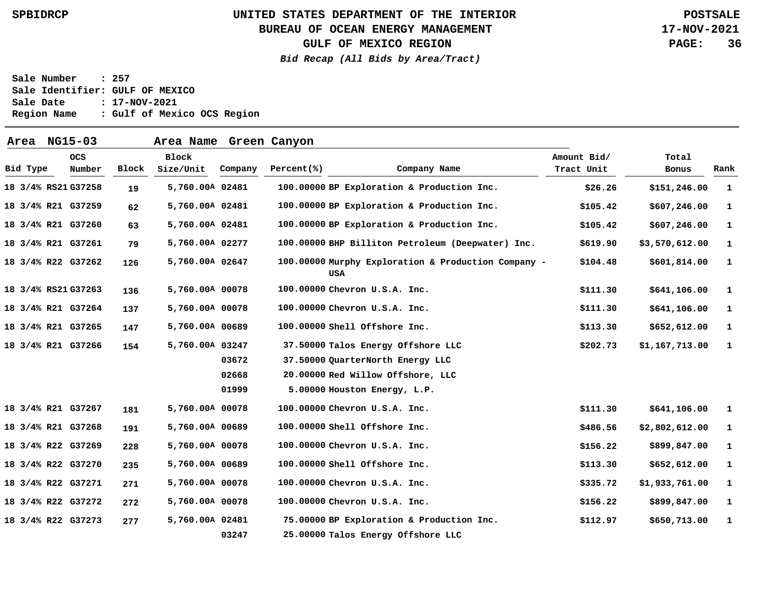### **BUREAU OF OCEAN ENERGY MANAGEMENT**

**GULF OF MEXICO REGION**

**Bid Recap (All Bids by Area/Tract)**

**17-NOV-2021 PAGE: 36**

| Area                | NG15-03              |       | Area Name Green Canyon |         |             |                                                            |                           |                |              |
|---------------------|----------------------|-------|------------------------|---------|-------------|------------------------------------------------------------|---------------------------|----------------|--------------|
| Bid Type            | <b>OCS</b><br>Number | Block | Block<br>Size/Unit     | Company | Percent(% ) | Company Name                                               | Amount Bid/<br>Tract Unit | Total<br>Bonus | Rank         |
| 18 3/4% RS21 G37258 |                      | 19    | 5,760.00A 02481        |         |             | 100.00000 BP Exploration & Production Inc.                 | \$26.26                   | \$151,246.00   | <sup>1</sup> |
| 18 3/4% R21 G37259  |                      | 62    | 5,760.00A 02481        |         |             | 100.00000 BP Exploration & Production Inc.                 | \$105.42                  | \$607,246.00   | 1            |
| 18 3/4% R21 G37260  |                      | 63    | 5,760.00A 02481        |         |             | 100.00000 BP Exploration & Production Inc.                 | \$105.42                  | \$607,246.00   | $\mathbf{1}$ |
| 18 3/4% R21 G37261  |                      | 79    | 5,760.00A 02277        |         |             | 100.00000 BHP Billiton Petroleum (Deepwater) Inc.          | \$619.90                  | \$3,570,612.00 | $\mathbf{1}$ |
| 18 3/4% R22 G37262  |                      | 126   | 5,760.00A 02647        |         |             | 100.00000 Murphy Exploration & Production Company -<br>USA | \$104.48                  | \$601,814.00   | 1            |
| 18 3/4% RS21 G37263 |                      | 136   | 5,760.00A 00078        |         |             | 100.00000 Chevron U.S.A. Inc.                              | \$111.30                  | \$641,106.00   | 1            |
| 18 3/4% R21 G37264  |                      | 137   | 5,760.00A 00078        |         |             | 100.00000 Chevron U.S.A. Inc.                              | \$111.30                  | \$641,106.00   | -1           |
| 18 3/4% R21 G37265  |                      | 147   | 5,760.00A 00689        |         |             | 100.00000 Shell Offshore Inc.                              | \$113.30                  | \$652,612.00   | $\mathbf{1}$ |
| 18 3/4% R21 G37266  |                      | 154   | 5,760.00A 03247        |         |             | 37.50000 Talos Energy Offshore LLC                         | \$202.73                  | \$1,167,713.00 | $\mathbf{1}$ |
|                     |                      |       |                        | 03672   |             | 37.50000 QuarterNorth Energy LLC                           |                           |                |              |
|                     |                      |       |                        | 02668   |             | 20.00000 Red Willow Offshore, LLC                          |                           |                |              |
|                     |                      |       |                        | 01999   |             | 5.00000 Houston Energy, L.P.                               |                           |                |              |
| 18 3/4% R21 G37267  |                      | 181   | 5,760.00A 00078        |         |             | 100.00000 Chevron U.S.A. Inc.                              | \$111.30                  | \$641,106.00   | -1           |
| 18 3/4% R21 G37268  |                      | 191   | 5,760.00A 00689        |         |             | 100.00000 Shell Offshore Inc.                              | \$486.56                  | \$2,802,612.00 | -1           |
| 18 3/4% R22 G37269  |                      | 228   | 5,760.00A 00078        |         |             | 100.00000 Chevron U.S.A. Inc.                              | \$156.22                  | \$899,847.00   | $\mathbf{1}$ |
| 18 3/4% R22 G37270  |                      | 235   | 5,760.00A 00689        |         |             | 100.00000 Shell Offshore Inc.                              | \$113.30                  | \$652,612.00   | $\mathbf{1}$ |
| 18 3/4% R22 G37271  |                      | 271   | 5,760.00A 00078        |         |             | 100.00000 Chevron U.S.A. Inc.                              | \$335.72                  | \$1,933,761.00 | 1            |
| 18 3/4% R22 G37272  |                      | 272   | 5,760.00A 00078        |         |             | 100.00000 Chevron U.S.A. Inc.                              | \$156.22                  | \$899,847.00   | $\mathbf{1}$ |
| 18 3/4% R22 G37273  |                      | 277   | 5,760.00A 02481        |         |             | 75.00000 BP Exploration & Production Inc.                  | \$112.97                  | \$650,713.00   | $\mathbf{1}$ |
|                     |                      |       |                        | 03247   |             | 25.00000 Talos Energy Offshore LLC                         |                           |                |              |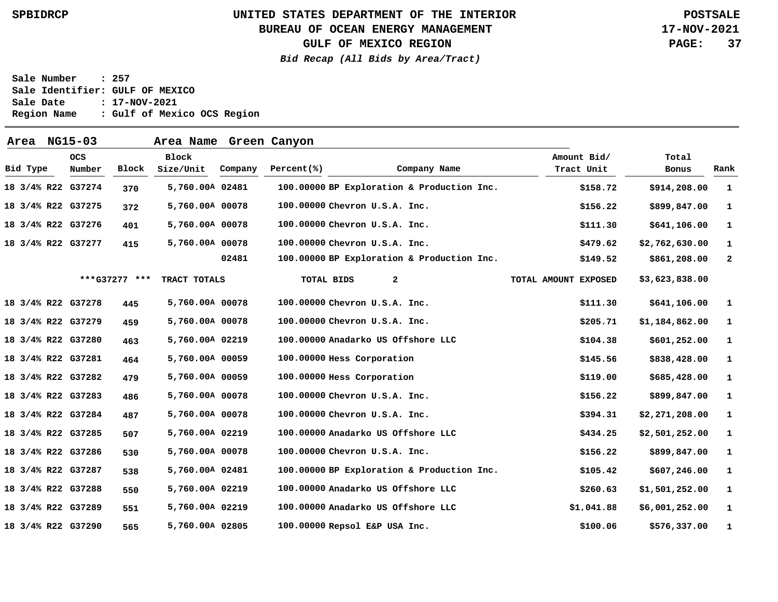### **BUREAU OF OCEAN ENERGY MANAGEMENT**

**GULF OF MEXICO REGION**

**Bid Recap (All Bids by Area/Tract)**

**17-NOV-2021 PAGE: 37**

| Area               | NG15-03              |               | Area Name Green Canyon    |         |            |                                    |                                            |                           |                |              |
|--------------------|----------------------|---------------|---------------------------|---------|------------|------------------------------------|--------------------------------------------|---------------------------|----------------|--------------|
| Bid Type           | <b>OCS</b><br>Number | Block         | <b>Block</b><br>Size/Unit | Company | Percent(%) |                                    | Company Name                               | Amount Bid/<br>Tract Unit | Total<br>Bonus | Rank         |
| 18 3/4% R22 G37274 |                      | 370           | 5,760.00A 02481           |         |            |                                    | 100.00000 BP Exploration & Production Inc. | \$158.72                  | \$914,208.00   | 1            |
| 18 3/4% R22 G37275 |                      | 372           | 5,760.00A 00078           |         |            | 100.00000 Chevron U.S.A. Inc.      |                                            | \$156.22                  | \$899,847.00   | 1            |
| 18 3/4% R22 G37276 |                      | 401           | 5,760.00A 00078           |         |            | 100.00000 Chevron U.S.A. Inc.      |                                            | \$111.30                  | \$641,106.00   | 1            |
| 18 3/4% R22 G37277 |                      | 415           | 5,760.00A 00078           |         |            | 100.00000 Chevron U.S.A. Inc.      |                                            | \$479.62                  | \$2,762,630.00 | 1            |
|                    |                      |               |                           | 02481   |            |                                    | 100.00000 BP Exploration & Production Inc. | \$149.52                  | \$861,208.00   | $\mathbf{2}$ |
|                    |                      | ***G37277 *** | TRACT TOTALS              |         |            | $\overline{a}$<br>TOTAL BIDS       |                                            | TOTAL AMOUNT EXPOSED      | \$3,623,838.00 |              |
| 18 3/4% R22 G37278 |                      | 445           | 5,760.00A 00078           |         |            | 100.00000 Chevron U.S.A. Inc.      |                                            | \$111.30                  | \$641,106.00   | -1           |
| 18 3/4% R22 G37279 |                      | 459           | 5,760.00A 00078           |         |            | 100.00000 Chevron U.S.A. Inc.      |                                            | \$205.71                  | \$1,184,862.00 | -1           |
| 18 3/4% R22 G37280 |                      | 463           | 5,760.00A 02219           |         |            | 100.00000 Anadarko US Offshore LLC |                                            | \$104.38                  | \$601,252.00   | 1            |
| 18 3/4% R22 G37281 |                      | 464           | 5,760.00A 00059           |         |            | 100.00000 Hess Corporation         |                                            | \$145.56                  | \$838,428.00   | -1           |
| 18 3/4% R22 G37282 |                      | 479           | 5,760.00A 00059           |         |            | 100.00000 Hess Corporation         |                                            | \$119.00                  | \$685,428.00   | $\mathbf{1}$ |
| 18 3/4% R22 G37283 |                      | 486           | 5,760.00A 00078           |         |            | 100.00000 Chevron U.S.A. Inc.      |                                            | \$156.22                  | \$899,847.00   | 1            |
| 18 3/4% R22 G37284 |                      | 487           | 5,760.00A 00078           |         |            | 100.00000 Chevron U.S.A. Inc.      |                                            | \$394.31                  | \$2,271,208.00 | 1            |
| 18 3/4% R22 G37285 |                      | 507           | 5,760.00A 02219           |         |            | 100.00000 Anadarko US Offshore LLC |                                            | \$434.25                  | \$2,501,252.00 | -1           |
| 18 3/4% R22 G37286 |                      | 530           | 5,760.00A 00078           |         |            | 100.00000 Chevron U.S.A. Inc.      |                                            | \$156.22                  | \$899,847.00   | 1            |
| 18 3/4% R22 G37287 |                      | 538           | 5,760.00A 02481           |         |            |                                    | 100.00000 BP Exploration & Production Inc. | \$105.42                  | \$607,246.00   | -1           |
| 18 3/4% R22 G37288 |                      | 550           | 5,760.00A 02219           |         |            | 100.00000 Anadarko US Offshore LLC |                                            | \$260.63                  | \$1,501,252.00 | -1           |
| 18 3/4% R22 G37289 |                      | 551           | 5,760.00A 02219           |         |            | 100.00000 Anadarko US Offshore LLC |                                            | \$1.041.88                | \$6,001,252.00 | -1           |
| 18 3/4% R22 G37290 |                      | 565           | 5,760.00A 02805           |         |            | 100.00000 Repsol E&P USA Inc.      |                                            | \$100.06                  | \$576,337.00   | 1            |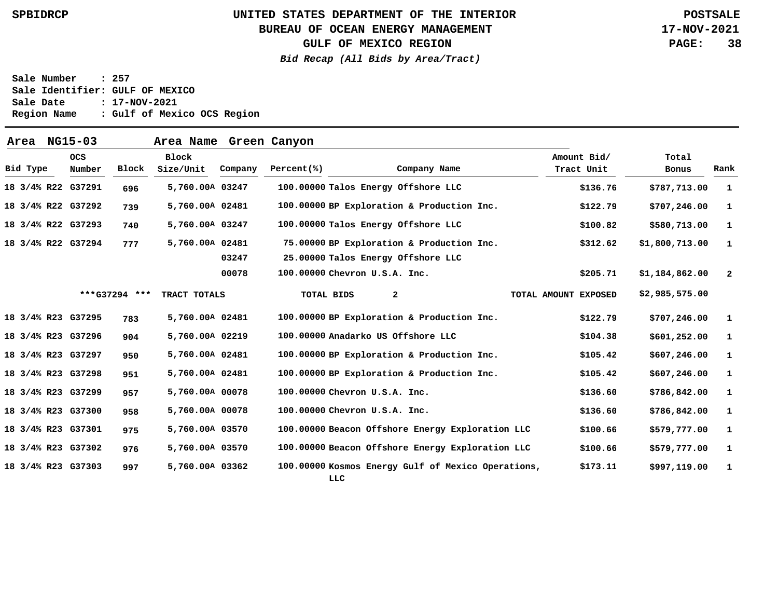### **BUREAU OF OCEAN ENERGY MANAGEMENT**

**GULF OF MEXICO REGION**

**Bid Recap (All Bids by Area/Tract)**

**17-NOV-2021 PAGE: 38**

| Area     | NG15-03            |               | Area Name Green Canyon    |         |                   |                                     |                                                    |                           |                |              |
|----------|--------------------|---------------|---------------------------|---------|-------------------|-------------------------------------|----------------------------------------------------|---------------------------|----------------|--------------|
| Bid Type | OCS<br>Number      | Block         | <b>Block</b><br>Size/Unit | Company | Percent(%)        |                                     | Company Name                                       | Amount Bid/<br>Tract Unit | Total<br>Bonus | Rank         |
|          | 18 3/4% R22 G37291 | 696           | 5,760.00A 03247           |         |                   | 100.00000 Talos Energy Offshore LLC |                                                    | \$136.76                  | \$787,713.00   | $\mathbf{1}$ |
|          | 18 3/4% R22 G37292 | 739           | 5,760.00A 02481           |         |                   |                                     | 100.00000 BP Exploration & Production Inc.         | \$122.79                  | \$707, 246.00  | -1           |
|          | 18 3/4% R22 G37293 | 740           | 5,760.00A 03247           |         |                   | 100.00000 Talos Energy Offshore LLC |                                                    | \$100.82                  | \$580,713.00   | -1           |
|          | 18 3/4% R22 G37294 | 777           | 5,760.00A 02481           |         |                   |                                     | 75.00000 BP Exploration & Production Inc.          | \$312.62                  | \$1,800,713.00 | 1            |
|          |                    |               |                           | 03247   |                   | 25.00000 Talos Energy Offshore LLC  |                                                    |                           |                |              |
|          |                    |               |                           | 00078   |                   | 100.00000 Chevron U.S.A. Inc.       |                                                    | \$205.71                  | \$1,184,862.00 | $\mathbf{2}$ |
|          |                    | ***G37294 *** | TRACT TOTALS              |         | <b>TOTAL BIDS</b> | 2                                   |                                                    | TOTAL AMOUNT EXPOSED      | \$2,985,575.00 |              |
|          | 18 3/4% R23 G37295 | 783           | 5,760.00A 02481           |         |                   |                                     | 100.00000 BP Exploration & Production Inc.         | \$122.79                  | \$707, 246.00  | $\mathbf{1}$ |
|          | 18 3/4% R23 G37296 | 904           | 5,760.00A 02219           |         |                   | 100.00000 Anadarko US Offshore LLC  |                                                    | \$104.38                  | \$601,252.00   | -1           |
|          | 18 3/4% R23 G37297 | 950           | 5,760.00A 02481           |         |                   |                                     | 100.00000 BP Exploration & Production Inc.         | \$105.42                  | \$607, 246.00  | $\mathbf{1}$ |
|          | 18 3/4% R23 G37298 | 951           | 5,760.00A 02481           |         |                   |                                     | 100.00000 BP Exploration & Production Inc.         | \$105.42                  | \$607, 246.00  | -1           |
|          | 18 3/4% R23 G37299 | 957           | 5,760.00A 00078           |         |                   | 100.00000 Chevron U.S.A. Inc.       |                                                    | \$136.60                  | \$786,842.00   | 1            |
|          | 18 3/4% R23 G37300 | 958           | 5,760.00A 00078           |         |                   | 100.00000 Chevron U.S.A. Inc.       |                                                    | \$136.60                  | \$786,842.00   | 1            |
|          | 18 3/4% R23 G37301 | 975           | 5,760.00A 03570           |         |                   |                                     | 100.00000 Beacon Offshore Energy Exploration LLC   | \$100.66                  | \$579,777.00   | - 1          |
|          | 18 3/4% R23 G37302 | 976           | 5,760.00A 03570           |         |                   |                                     | 100.00000 Beacon Offshore Energy Exploration LLC   | \$100.66                  | \$579,777.00   | 1            |
|          | 18 3/4% R23 G37303 | 997           | 5,760.00A 03362           |         |                   | LLC                                 | 100.00000 Kosmos Energy Gulf of Mexico Operations, | \$173.11                  | \$997,119.00   | 1            |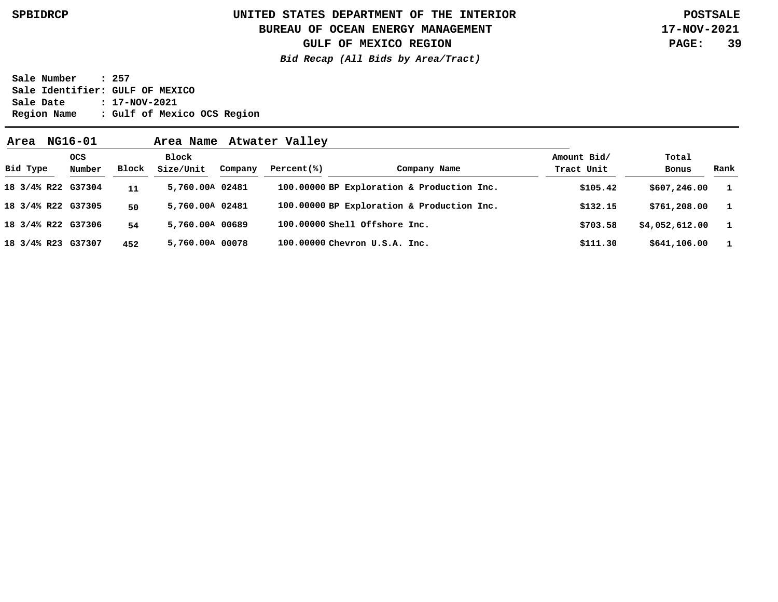### **UNITED STATES DEPARTMENT OF THE INTERIOR SPBIDRCP POSTSALE BUREAU OF OCEAN ENERGY MANAGEMENT**

**17-NOV-2021 PAGE: 39**

**GULF OF MEXICO REGION**

**Bid Recap (All Bids by Area/Tract)**

| Area               | NG16-01              |       | Area Name          |         | Atwater Valley |                                            |                           |                |              |
|--------------------|----------------------|-------|--------------------|---------|----------------|--------------------------------------------|---------------------------|----------------|--------------|
| Bid Type           | <b>OCS</b><br>Number | Block | Block<br>Size/Unit | Company | Percent(% )    | Company Name                               | Amount Bid/<br>Tract Unit | Total<br>Bonus | Rank         |
| 18 3/4% R22 G37304 |                      | 11    | 5,760.00A 02481    |         |                | 100.00000 BP Exploration & Production Inc. | \$105.42                  | \$607, 246.00  | $\mathbf{1}$ |
| 18 3/4% R22 G37305 |                      | 50    | 5,760.00A 02481    |         |                | 100.00000 BP Exploration & Production Inc. | \$132.15                  | \$761,208.00   | $\mathbf{1}$ |
| 18 3/4% R22 G37306 |                      | 54    | 5,760.00A 00689    |         |                | 100.00000 Shell Offshore Inc.              | \$703.58                  | \$4,052,612.00 | $\mathbf{1}$ |
| 18 3/4% R23 G37307 |                      | 452   | 5,760.00A 00078    |         |                | 100.00000 Chevron U.S.A. Inc.              | \$111.30                  | \$641,106.00   | $\mathbf{1}$ |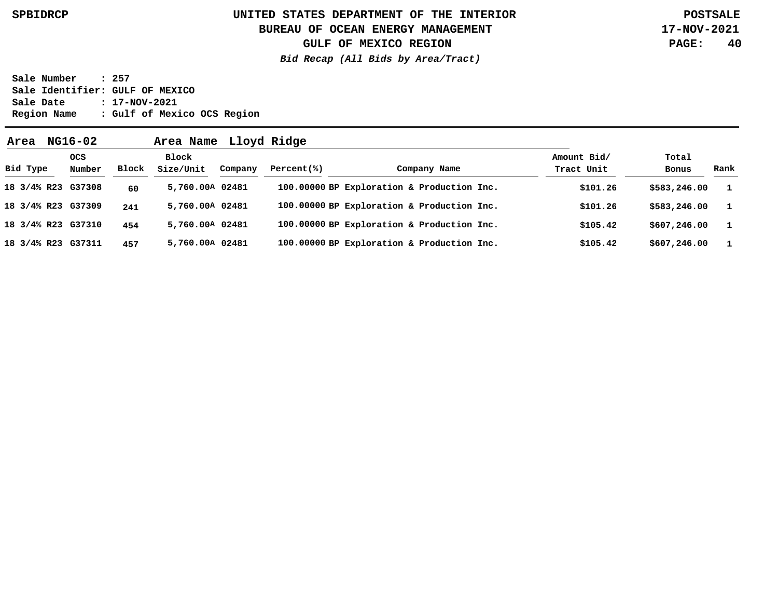### **UNITED STATES DEPARTMENT OF THE INTERIOR SPBIDRCP POSTSALE BUREAU OF OCEAN ENERGY MANAGEMENT**

**GULF OF MEXICO REGION**

**17-NOV-2021 PAGE: 40**

**Bid Recap (All Bids by Area/Tract)**

| Area               | NG16-02              |       | Area Name          |         | Lloyd Ridge |                                            |                           |                |              |
|--------------------|----------------------|-------|--------------------|---------|-------------|--------------------------------------------|---------------------------|----------------|--------------|
| Bid Type           | <b>OCS</b><br>Number | Block | Block<br>Size/Unit | Company | Percent(% ) | Company Name                               | Amount Bid/<br>Tract Unit | Total<br>Bonus | Rank         |
|                    | 18 3/4% R23 G37308   | 60    | 5,760.00A 02481    |         |             | 100.00000 BP Exploration & Production Inc. | \$101.26                  | \$583,246.00   | - 1          |
|                    | 18 3/4% R23 G37309   | 241   | 5,760.00A 02481    |         |             | 100.00000 BP Exploration & Production Inc. | \$101.26                  | \$583,246.00   | - 1          |
|                    | 18 3/4% R23 G37310   | 454   | 5,760.00A 02481    |         |             | 100.00000 BP Exploration & Production Inc. | \$105.42                  | \$607, 246.00  | $\mathbf{1}$ |
| 18 3/4% R23 G37311 |                      | 457   | 5,760.00A 02481    |         |             | 100.00000 BP Exploration & Production Inc. | \$105.42                  | \$607, 246.00  | $\mathbf{1}$ |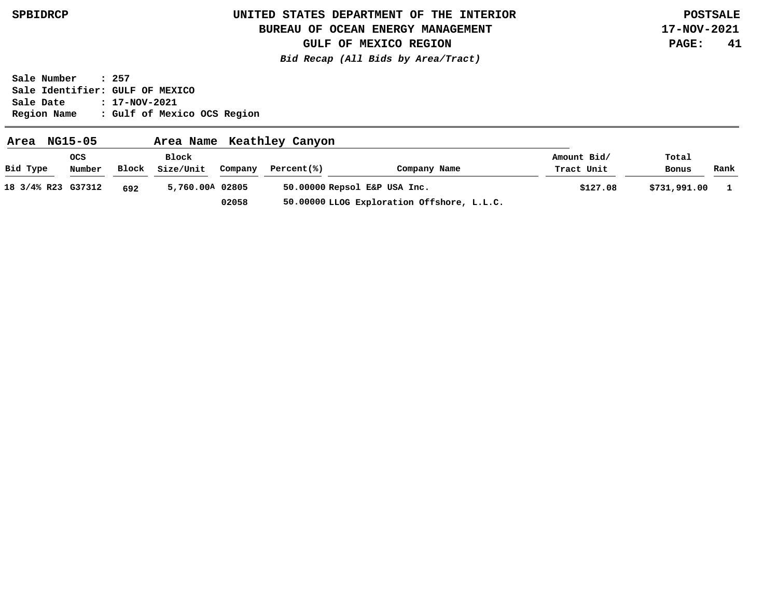### **BUREAU OF OCEAN ENERGY MANAGEMENT**

**GULF OF MEXICO REGION**

**Bid Recap (All Bids by Area/Tract)**

**17-NOV-2021 PAGE: 41**

| Area               | NG15-05    |       | Area Name       |         | Keathley Canyon |                                            |             |              |      |
|--------------------|------------|-------|-----------------|---------|-----------------|--------------------------------------------|-------------|--------------|------|
|                    | <b>OCS</b> |       | Block           |         |                 |                                            | Amount Bid/ | Total        |      |
| Bid Type           | Number     | Block | Size/Unit       | Company | Percent(%)      | Company Name                               | Tract Unit  | Bonus        | Rank |
| 18 3/4% R23 G37312 |            | 692   | 5,760.00A 02805 |         |                 | 50.00000 Repsol E&P USA Inc.               | \$127.08    | \$731,991.00 |      |
|                    |            |       |                 | 02058   |                 | 50.00000 LLOG Exploration Offshore, L.L.C. |             |              |      |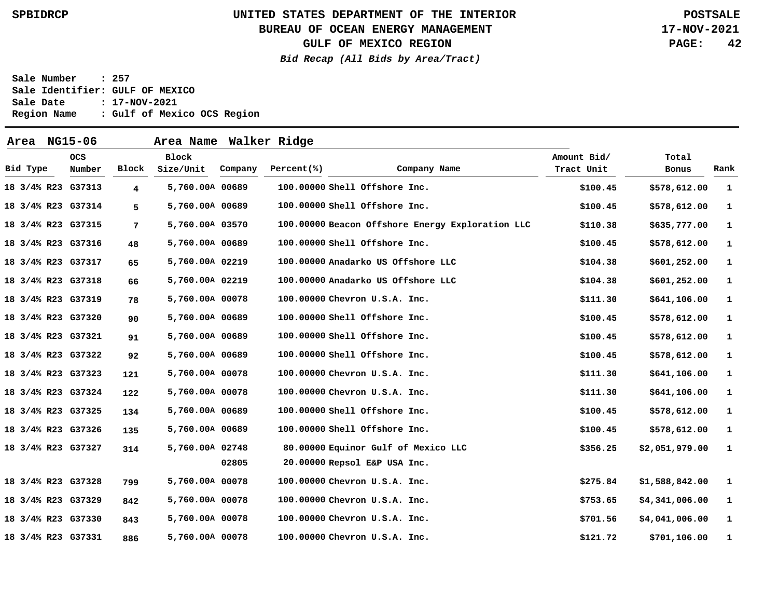### **BUREAU OF OCEAN ENERGY MANAGEMENT**

**GULF OF MEXICO REGION**

**Bid Recap (All Bids by Area/Tract)**

**17-NOV-2021 PAGE: 42**

| Area               | NG15-06              |                | Area Name                 |         | Walker Ridge |                                                  |                           |                |              |
|--------------------|----------------------|----------------|---------------------------|---------|--------------|--------------------------------------------------|---------------------------|----------------|--------------|
| Bid Type           | <b>OCS</b><br>Number | Block          | <b>Block</b><br>Size/Unit | Company | Percent(%)   | Company Name                                     | Amount Bid/<br>Tract Unit | Total<br>Bonus | Rank         |
| 18 3/4% R23 G37313 |                      | $\overline{4}$ | 5,760.00A 00689           |         |              | 100.00000 Shell Offshore Inc.                    | \$100.45                  | \$578,612.00   | 1            |
| 18 3/4% R23 G37314 |                      | 5              | 5,760.00A 00689           |         |              | 100.00000 Shell Offshore Inc.                    | \$100.45                  | \$578,612.00   | $\mathbf{1}$ |
| 18 3/4% R23 G37315 |                      | 7              | 5,760.00A 03570           |         |              | 100.00000 Beacon Offshore Energy Exploration LLC | \$110.38                  | \$635,777.00   | 1            |
| 18 3/4% R23 G37316 |                      | 48             | 5,760.00A 00689           |         |              | 100.00000 Shell Offshore Inc.                    | \$100.45                  | \$578,612.00   | $\mathbf{1}$ |
| 18 3/4% R23 G37317 |                      | 65             | 5,760.00A 02219           |         |              | 100.00000 Anadarko US Offshore LLC               | \$104.38                  | \$601,252.00   | 1            |
| 18 3/4% R23 G37318 |                      | 66             | 5,760.00A 02219           |         |              | 100.00000 Anadarko US Offshore LLC               | \$104.38                  | \$601,252.00   | 1            |
| 18 3/4% R23 G37319 |                      | 78             | 5,760.00A 00078           |         |              | 100.00000 Chevron U.S.A. Inc.                    | \$111.30                  | \$641,106.00   | $\mathbf{1}$ |
| 18 3/4% R23 G37320 |                      | 90             | 5,760.00A 00689           |         |              | 100.00000 Shell Offshore Inc.                    | \$100.45                  | \$578,612.00   | $\mathbf{1}$ |
| 18 3/4% R23 G37321 |                      | 91             | 5,760.00A 00689           |         |              | 100.00000 Shell Offshore Inc.                    | \$100.45                  | \$578,612.00   | 1            |
| 18 3/4% R23 G37322 |                      | 92             | 5,760.00A 00689           |         |              | 100.00000 Shell Offshore Inc.                    | \$100.45                  | \$578,612.00   | 1            |
| 18 3/4% R23 G37323 |                      | 121            | 5,760.00A 00078           |         |              | 100.00000 Chevron U.S.A. Inc.                    | \$111.30                  | \$641,106.00   | 1            |
| 18 3/4% R23 G37324 |                      | 122            | 5,760.00A 00078           |         |              | 100.00000 Chevron U.S.A. Inc.                    | \$111.30                  | \$641,106.00   | 1            |
| 18 3/4% R23 G37325 |                      | 134            | 5,760.00A 00689           |         |              | 100.00000 Shell Offshore Inc.                    | \$100.45                  | \$578,612.00   | $\mathbf 1$  |
| 18 3/4% R23 G37326 |                      | 135            | 5,760.00A 00689           |         |              | 100.00000 Shell Offshore Inc.                    | \$100.45                  | \$578,612.00   | 1            |
| 18 3/4% R23 G37327 |                      | 314            | 5,760.00A 02748           |         |              | 80.00000 Equinor Gulf of Mexico LLC              | \$356.25                  | \$2,051,979.00 | 1            |
|                    |                      |                |                           | 02805   |              | 20.00000 Repsol E&P USA Inc.                     |                           |                |              |
| 18 3/4% R23 G37328 |                      | 799            | 5,760.00A 00078           |         |              | 100.00000 Chevron U.S.A. Inc.                    | \$275.84                  | \$1,588,842.00 | 1            |
| 18 3/4% R23 G37329 |                      | 842            | 5,760.00A 00078           |         |              | 100.00000 Chevron U.S.A. Inc.                    | \$753.65                  | \$4,341,006.00 | 1            |
| 18 3/4% R23 G37330 |                      | 843            | 5,760.00A 00078           |         |              | 100.00000 Chevron U.S.A. Inc.                    | \$701.56                  | \$4,041,006.00 | 1            |
| 18 3/4% R23 G37331 |                      | 886            | 5,760.00A 00078           |         |              | 100.00000 Chevron U.S.A. Inc.                    | \$121.72                  | \$701,106.00   | 1            |